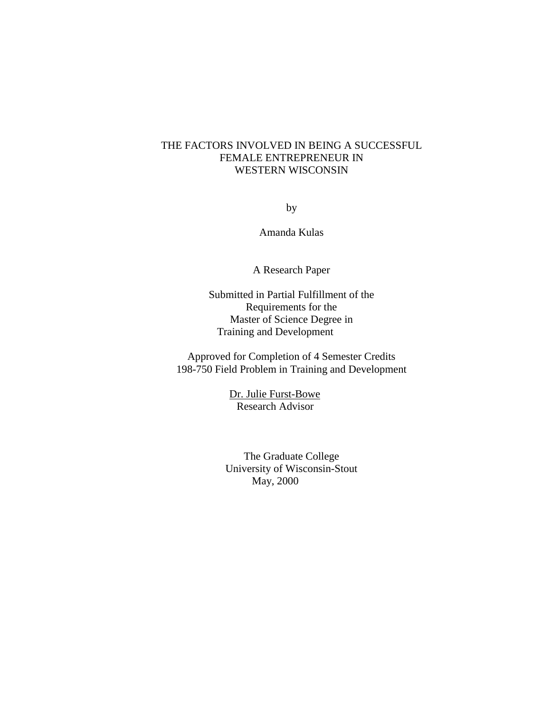# THE FACTORS INVOLVED IN BEING A SUCCESSFUL FEMALE ENTREPRENEUR IN WESTERN WISCONSIN

by

Amanda Kulas

A Research Paper

Submitted in Partial Fulfillment of the Requirements for the Master of Science Degree in Training and Development

Approved for Completion of 4 Semester Credits 198-750 Field Problem in Training and Development

> Dr. Julie Furst-Bowe Research Advisor

The Graduate College University of Wisconsin-Stout May, 2000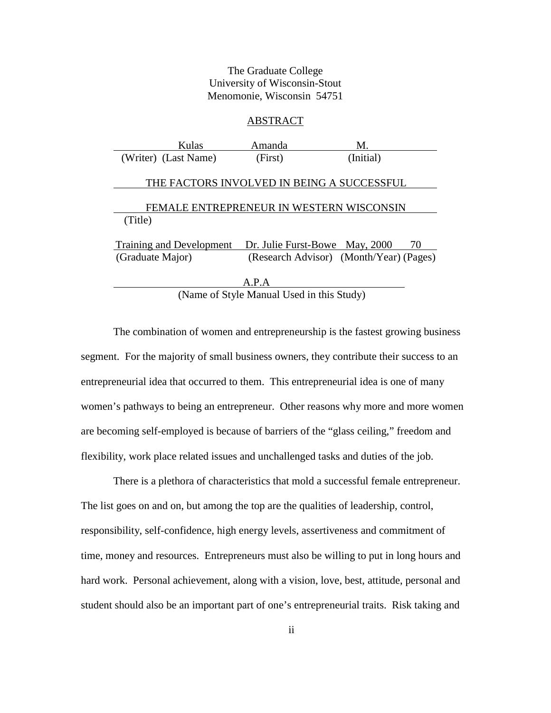# The Graduate College University of Wisconsin-Stout Menomonie, Wisconsin 54751

### ABSTRACT

| Kulas                                      | Amanda                                    | M.                                      |    |  |  |
|--------------------------------------------|-------------------------------------------|-----------------------------------------|----|--|--|
| (Writer) (Last Name)                       | (First)                                   | (Initial)                               |    |  |  |
|                                            |                                           |                                         |    |  |  |
| THE FACTORS INVOLVED IN BEING A SUCCESSFUL |                                           |                                         |    |  |  |
|                                            |                                           |                                         |    |  |  |
|                                            | FEMALE ENTREPRENEUR IN WESTERN WISCONSIN  |                                         |    |  |  |
| (Title)                                    |                                           |                                         |    |  |  |
| <b>Training and Development</b>            |                                           | Dr. Julie Furst-Bowe May, 2000          | 70 |  |  |
| (Graduate Major)                           |                                           | (Research Advisor) (Month/Year) (Pages) |    |  |  |
|                                            |                                           |                                         |    |  |  |
|                                            | A.P.A                                     |                                         |    |  |  |
|                                            | (Name of Style Manual Used in this Study) |                                         |    |  |  |

The combination of women and entrepreneurship is the fastest growing business segment. For the majority of small business owners, they contribute their success to an entrepreneurial idea that occurred to them. This entrepreneurial idea is one of many women's pathways to being an entrepreneur. Other reasons why more and more women are becoming self-employed is because of barriers of the "glass ceiling," freedom and flexibility, work place related issues and unchallenged tasks and duties of the job.

There is a plethora of characteristics that mold a successful female entrepreneur. The list goes on and on, but among the top are the qualities of leadership, control, responsibility, self-confidence, high energy levels, assertiveness and commitment of time, money and resources. Entrepreneurs must also be willing to put in long hours and hard work. Personal achievement, along with a vision, love, best, attitude, personal and student should also be an important part of one's entrepreneurial traits. Risk taking and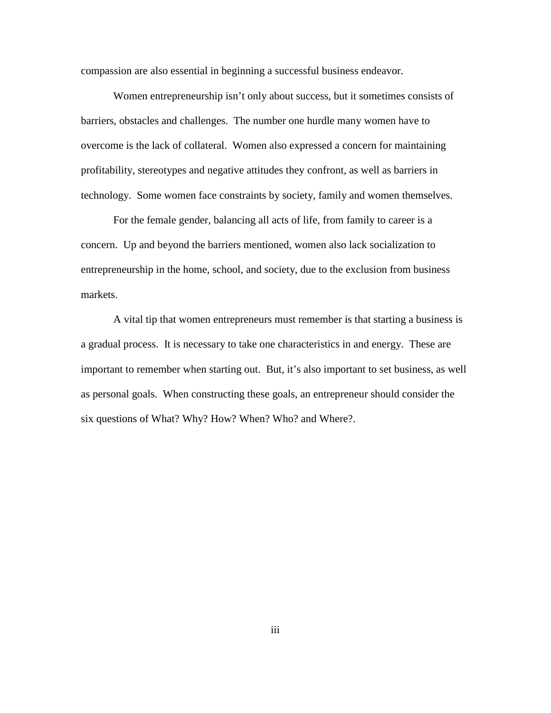compassion are also essential in beginning a successful business endeavor.

Women entrepreneurship isn't only about success, but it sometimes consists of barriers, obstacles and challenges. The number one hurdle many women have to overcome is the lack of collateral. Women also expressed a concern for maintaining profitability, stereotypes and negative attitudes they confront, as well as barriers in technology. Some women face constraints by society, family and women themselves.

For the female gender, balancing all acts of life, from family to career is a concern. Up and beyond the barriers mentioned, women also lack socialization to entrepreneurship in the home, school, and society, due to the exclusion from business markets.

A vital tip that women entrepreneurs must remember is that starting a business is a gradual process. It is necessary to take one characteristics in and energy. These are important to remember when starting out. But, it's also important to set business, as well as personal goals. When constructing these goals, an entrepreneur should consider the six questions of What? Why? How? When? Who? and Where?.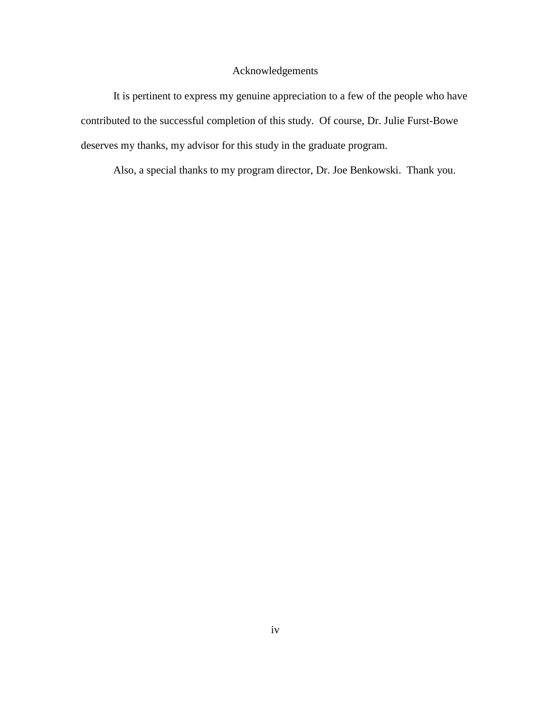# Acknowledgements

It is pertinent to express my genuine appreciation to a few of the people who have contributed to the successful completion of this study. Of course, Dr. Julie Furst-Bowe deserves my thanks, my advisor for this study in the graduate program.

Also, a special thanks to my program director, Dr. Joe Benkowski. Thank you.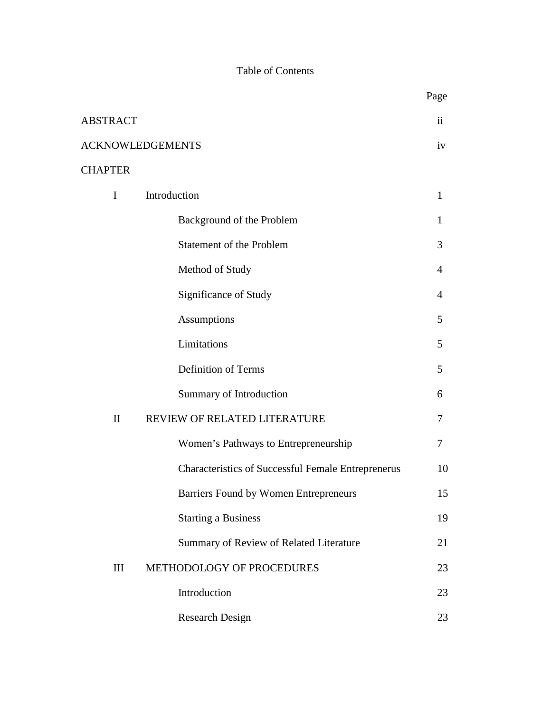# Table of Contents

|                 |                                                           | Page          |
|-----------------|-----------------------------------------------------------|---------------|
| <b>ABSTRACT</b> |                                                           | $\mathbf{ii}$ |
|                 | <b>ACKNOWLEDGEMENTS</b>                                   | iv            |
| <b>CHAPTER</b>  |                                                           |               |
| $\mathbf I$     | Introduction                                              | $\mathbf{1}$  |
|                 | Background of the Problem                                 | 1             |
|                 | <b>Statement of the Problem</b>                           | 3             |
|                 | Method of Study                                           | 4             |
|                 | Significance of Study                                     | 4             |
|                 | <b>Assumptions</b>                                        | 5             |
|                 | Limitations                                               | 5             |
|                 | <b>Definition of Terms</b>                                | 5             |
|                 | Summary of Introduction                                   | 6             |
| $\mathbf{I}$    | REVIEW OF RELATED LITERATURE                              | 7             |
|                 | Women's Pathways to Entrepreneurship                      | 7             |
|                 | <b>Characteristics of Successful Female Entreprenerus</b> | 10            |
|                 | Barriers Found by Women Entrepreneurs                     | 15            |
|                 | <b>Starting a Business</b>                                | 19            |
|                 | Summary of Review of Related Literature                   | 21            |
| III             | METHODOLOGY OF PROCEDURES                                 | 23            |
|                 | Introduction                                              | 23            |
|                 | Research Design                                           | 23            |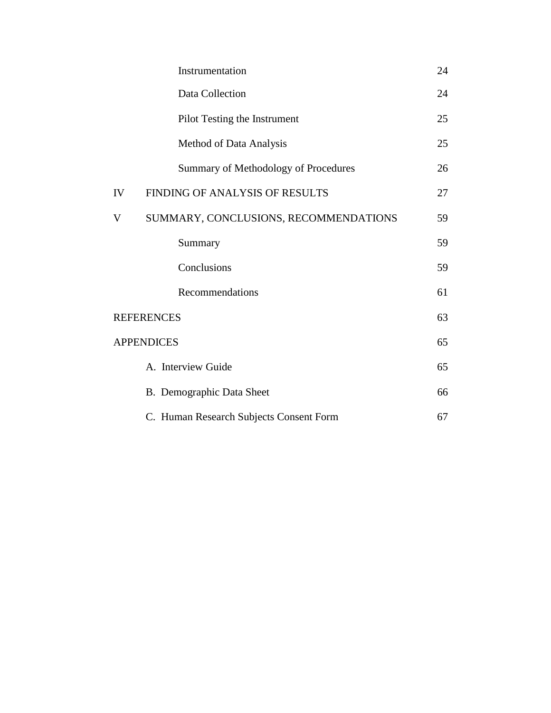| 24 |
|----|
| 24 |
| 25 |
| 25 |
| 26 |
| 27 |
| 59 |
| 59 |
| 59 |
| 61 |
| 63 |
| 65 |
| 65 |
| 66 |
| 67 |
|    |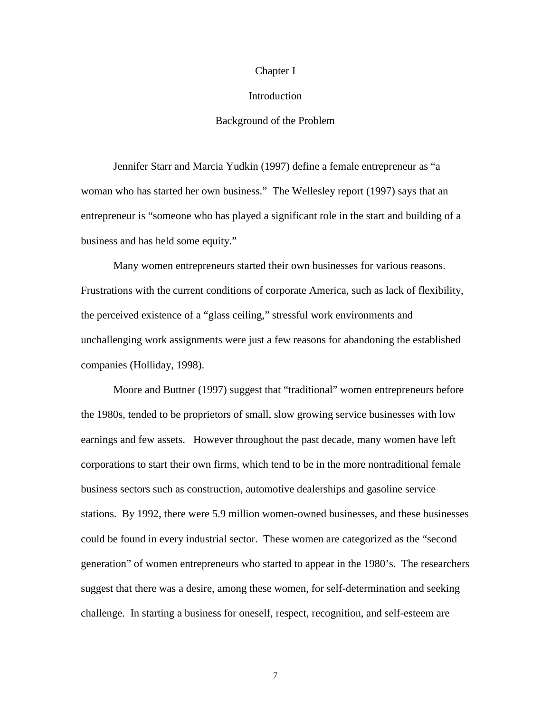### Chapter I

### **Introduction**

## Background of the Problem

Jennifer Starr and Marcia Yudkin (1997) define a female entrepreneur as "a woman who has started her own business." The Wellesley report (1997) says that an entrepreneur is "someone who has played a significant role in the start and building of a business and has held some equity."

Many women entrepreneurs started their own businesses for various reasons. Frustrations with the current conditions of corporate America, such as lack of flexibility, the perceived existence of a "glass ceiling," stressful work environments and unchallenging work assignments were just a few reasons for abandoning the established companies (Holliday, 1998).

Moore and Buttner (1997) suggest that "traditional" women entrepreneurs before the 1980s, tended to be proprietors of small, slow growing service businesses with low earnings and few assets. However throughout the past decade, many women have left corporations to start their own firms, which tend to be in the more nontraditional female business sectors such as construction, automotive dealerships and gasoline service stations. By 1992, there were 5.9 million women-owned businesses, and these businesses could be found in every industrial sector. These women are categorized as the "second generation" of women entrepreneurs who started to appear in the 1980's. The researchers suggest that there was a desire, among these women, for self-determination and seeking challenge. In starting a business for oneself, respect, recognition, and self-esteem are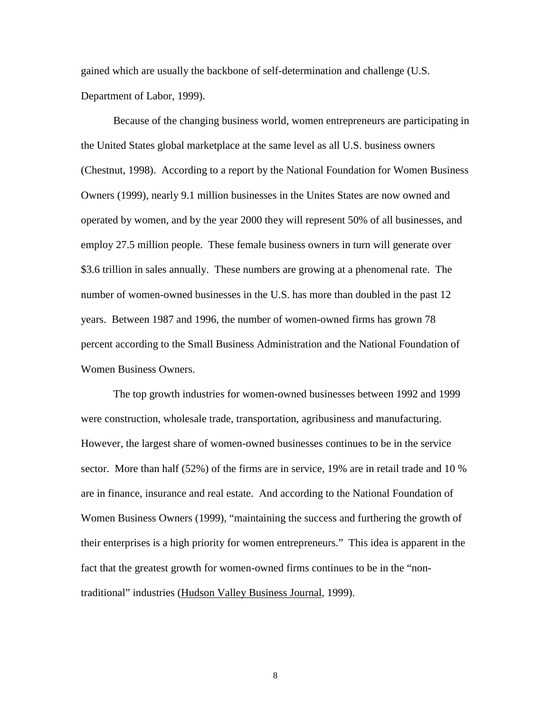gained which are usually the backbone of self-determination and challenge (U.S. Department of Labor, 1999).

Because of the changing business world, women entrepreneurs are participating in the United States global marketplace at the same level as all U.S. business owners (Chestnut, 1998). According to a report by the National Foundation for Women Business Owners (1999), nearly 9.1 million businesses in the Unites States are now owned and operated by women, and by the year 2000 they will represent 50% of all businesses, and employ 27.5 million people. These female business owners in turn will generate over \$3.6 trillion in sales annually. These numbers are growing at a phenomenal rate. The number of women-owned businesses in the U.S. has more than doubled in the past 12 years. Between 1987 and 1996, the number of women-owned firms has grown 78 percent according to the Small Business Administration and the National Foundation of Women Business Owners.

The top growth industries for women-owned businesses between 1992 and 1999 were construction, wholesale trade, transportation, agribusiness and manufacturing. However, the largest share of women-owned businesses continues to be in the service sector. More than half (52%) of the firms are in service, 19% are in retail trade and 10 % are in finance, insurance and real estate. And according to the National Foundation of Women Business Owners (1999), "maintaining the success and furthering the growth of their enterprises is a high priority for women entrepreneurs." This idea is apparent in the fact that the greatest growth for women-owned firms continues to be in the "nontraditional" industries (Hudson Valley Business Journal, 1999).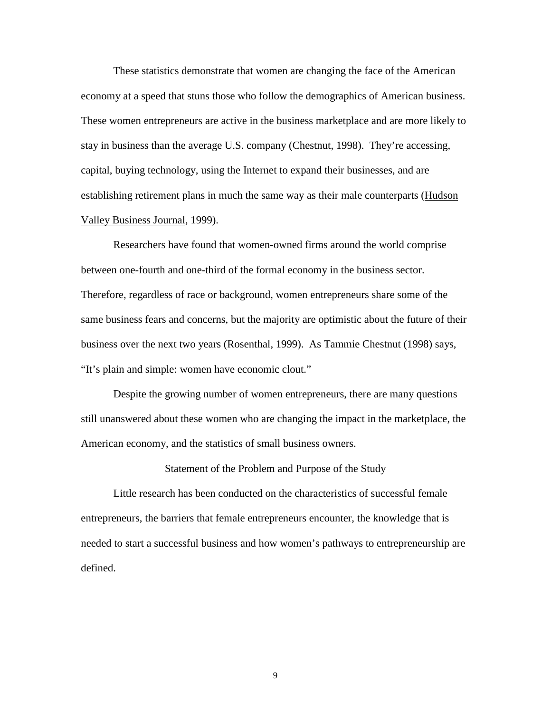These statistics demonstrate that women are changing the face of the American economy at a speed that stuns those who follow the demographics of American business. These women entrepreneurs are active in the business marketplace and are more likely to stay in business than the average U.S. company (Chestnut, 1998). They're accessing, capital, buying technology, using the Internet to expand their businesses, and are establishing retirement plans in much the same way as their male counterparts (Hudson Valley Business Journal, 1999).

Researchers have found that women-owned firms around the world comprise between one-fourth and one-third of the formal economy in the business sector. Therefore, regardless of race or background, women entrepreneurs share some of the same business fears and concerns, but the majority are optimistic about the future of their business over the next two years (Rosenthal, 1999). As Tammie Chestnut (1998) says, "It's plain and simple: women have economic clout."

Despite the growing number of women entrepreneurs, there are many questions still unanswered about these women who are changing the impact in the marketplace, the American economy, and the statistics of small business owners.

Statement of the Problem and Purpose of the Study

Little research has been conducted on the characteristics of successful female entrepreneurs, the barriers that female entrepreneurs encounter, the knowledge that is needed to start a successful business and how women's pathways to entrepreneurship are defined.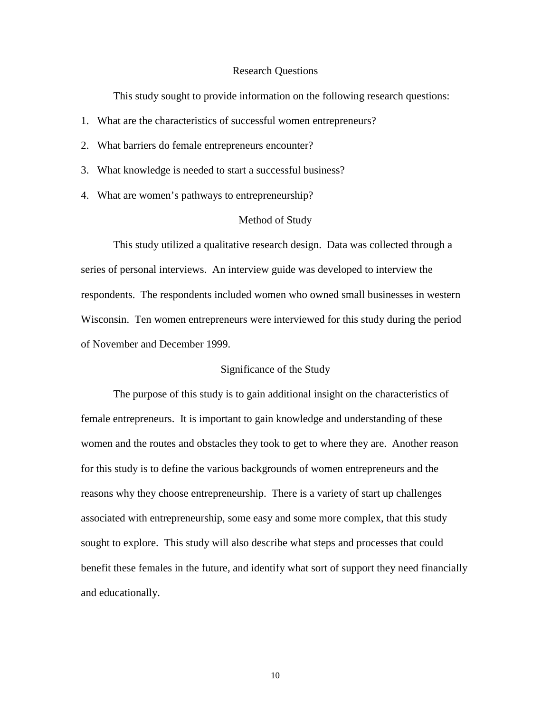#### Research Questions

This study sought to provide information on the following research questions:

- 1. What are the characteristics of successful women entrepreneurs?
- 2. What barriers do female entrepreneurs encounter?
- 3. What knowledge is needed to start a successful business?
- 4. What are women's pathways to entrepreneurship?

## Method of Study

This study utilized a qualitative research design. Data was collected through a series of personal interviews. An interview guide was developed to interview the respondents. The respondents included women who owned small businesses in western Wisconsin. Ten women entrepreneurs were interviewed for this study during the period of November and December 1999.

## Significance of the Study

The purpose of this study is to gain additional insight on the characteristics of female entrepreneurs. It is important to gain knowledge and understanding of these women and the routes and obstacles they took to get to where they are. Another reason for this study is to define the various backgrounds of women entrepreneurs and the reasons why they choose entrepreneurship. There is a variety of start up challenges associated with entrepreneurship, some easy and some more complex, that this study sought to explore. This study will also describe what steps and processes that could benefit these females in the future, and identify what sort of support they need financially and educationally.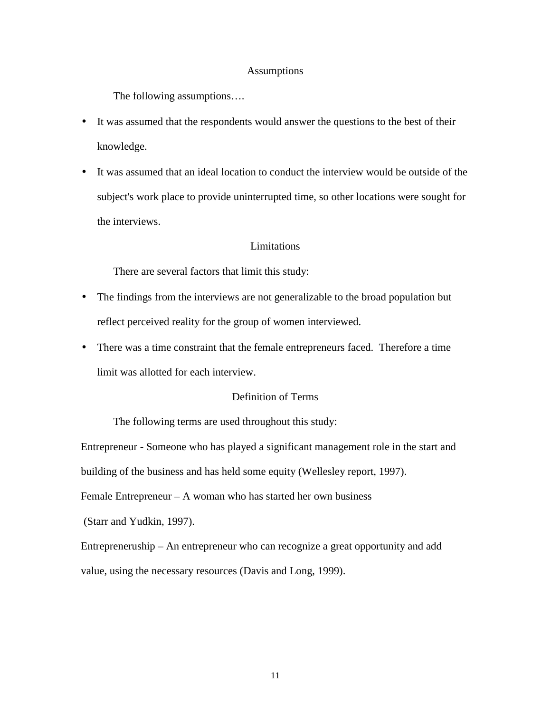### Assumptions

The following assumptions….

- It was assumed that the respondents would answer the questions to the best of their knowledge.
- It was assumed that an ideal location to conduct the interview would be outside of the subject's work place to provide uninterrupted time, so other locations were sought for the interviews.

# Limitations

There are several factors that limit this study:

- The findings from the interviews are not generalizable to the broad population but reflect perceived reality for the group of women interviewed.
- There was a time constraint that the female entrepreneurs faced. Therefore a time limit was allotted for each interview.

# Definition of Terms

The following terms are used throughout this study:

Entrepreneur - Someone who has played a significant management role in the start and

building of the business and has held some equity (Wellesley report, 1997).

Female Entrepreneur – A woman who has started her own business

(Starr and Yudkin, 1997).

Entrepreneruship – An entrepreneur who can recognize a great opportunity and add value, using the necessary resources (Davis and Long, 1999).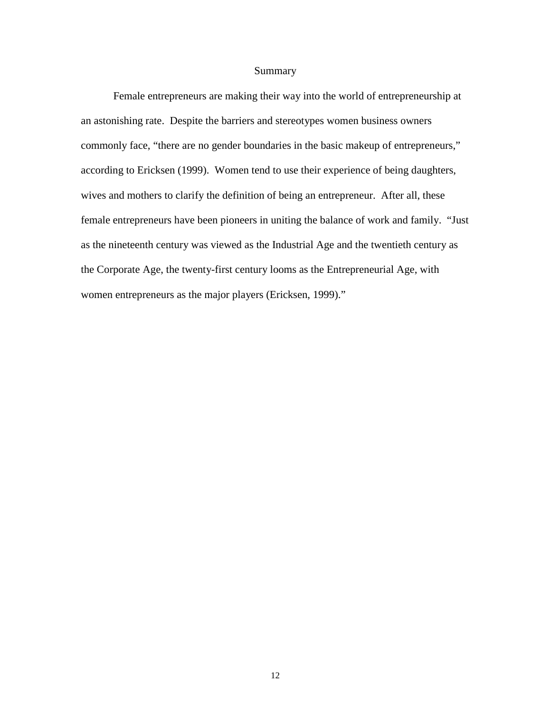# Summary

Female entrepreneurs are making their way into the world of entrepreneurship at an astonishing rate. Despite the barriers and stereotypes women business owners commonly face, "there are no gender boundaries in the basic makeup of entrepreneurs," according to Ericksen (1999). Women tend to use their experience of being daughters, wives and mothers to clarify the definition of being an entrepreneur. After all, these female entrepreneurs have been pioneers in uniting the balance of work and family. "Just as the nineteenth century was viewed as the Industrial Age and the twentieth century as the Corporate Age, the twenty-first century looms as the Entrepreneurial Age, with women entrepreneurs as the major players (Ericksen, 1999)."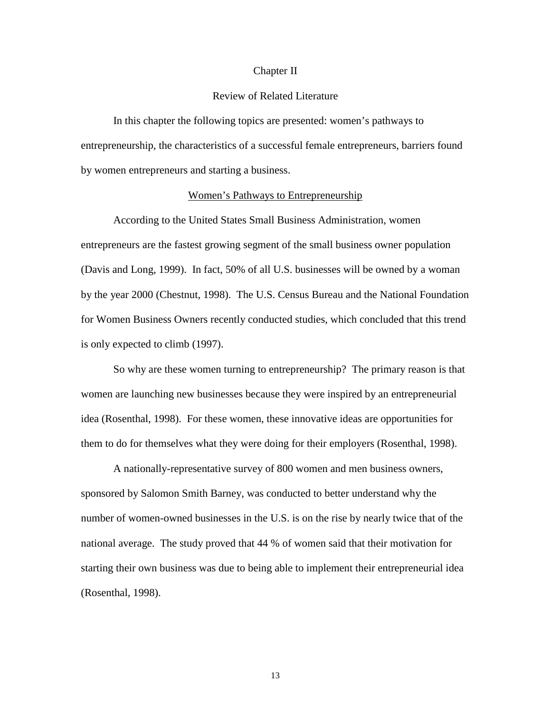#### Chapter II

## Review of Related Literature

In this chapter the following topics are presented: women's pathways to entrepreneurship, the characteristics of a successful female entrepreneurs, barriers found by women entrepreneurs and starting a business.

#### Women's Pathways to Entrepreneurship

According to the United States Small Business Administration, women entrepreneurs are the fastest growing segment of the small business owner population (Davis and Long, 1999). In fact, 50% of all U.S. businesses will be owned by a woman by the year 2000 (Chestnut, 1998). The U.S. Census Bureau and the National Foundation for Women Business Owners recently conducted studies, which concluded that this trend is only expected to climb (1997).

So why are these women turning to entrepreneurship? The primary reason is that women are launching new businesses because they were inspired by an entrepreneurial idea (Rosenthal, 1998). For these women, these innovative ideas are opportunities for them to do for themselves what they were doing for their employers (Rosenthal, 1998).

A nationally-representative survey of 800 women and men business owners, sponsored by Salomon Smith Barney, was conducted to better understand why the number of women-owned businesses in the U.S. is on the rise by nearly twice that of the national average. The study proved that 44 % of women said that their motivation for starting their own business was due to being able to implement their entrepreneurial idea (Rosenthal, 1998).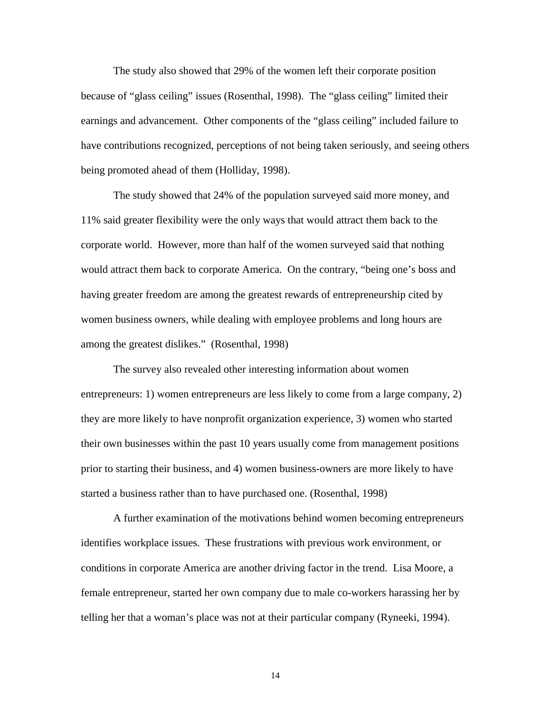The study also showed that 29% of the women left their corporate position because of "glass ceiling" issues (Rosenthal, 1998). The "glass ceiling" limited their earnings and advancement. Other components of the "glass ceiling" included failure to have contributions recognized, perceptions of not being taken seriously, and seeing others being promoted ahead of them (Holliday, 1998).

The study showed that 24% of the population surveyed said more money, and 11% said greater flexibility were the only ways that would attract them back to the corporate world. However, more than half of the women surveyed said that nothing would attract them back to corporate America. On the contrary, "being one's boss and having greater freedom are among the greatest rewards of entrepreneurship cited by women business owners, while dealing with employee problems and long hours are among the greatest dislikes." (Rosenthal, 1998)

The survey also revealed other interesting information about women entrepreneurs: 1) women entrepreneurs are less likely to come from a large company, 2) they are more likely to have nonprofit organization experience, 3) women who started their own businesses within the past 10 years usually come from management positions prior to starting their business, and 4) women business-owners are more likely to have started a business rather than to have purchased one. (Rosenthal, 1998)

A further examination of the motivations behind women becoming entrepreneurs identifies workplace issues. These frustrations with previous work environment, or conditions in corporate America are another driving factor in the trend. Lisa Moore, a female entrepreneur, started her own company due to male co-workers harassing her by telling her that a woman's place was not at their particular company (Ryneeki, 1994).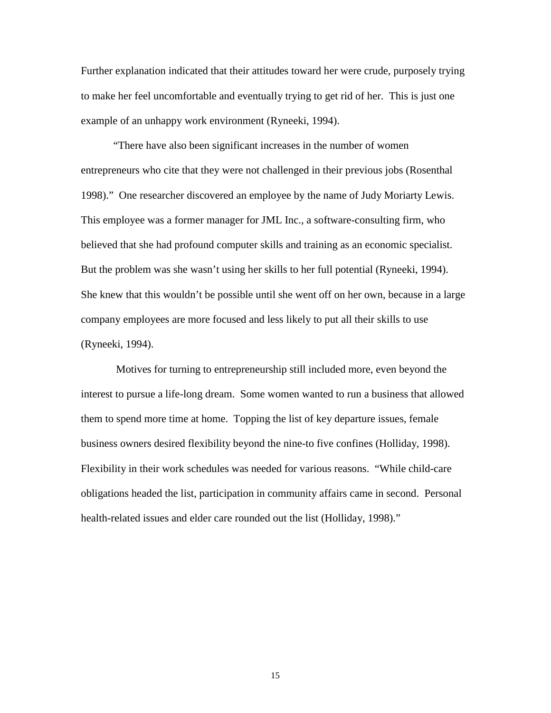Further explanation indicated that their attitudes toward her were crude, purposely trying to make her feel uncomfortable and eventually trying to get rid of her. This is just one example of an unhappy work environment (Ryneeki, 1994).

"There have also been significant increases in the number of women entrepreneurs who cite that they were not challenged in their previous jobs (Rosenthal 1998)." One researcher discovered an employee by the name of Judy Moriarty Lewis. This employee was a former manager for JML Inc., a software-consulting firm, who believed that she had profound computer skills and training as an economic specialist. But the problem was she wasn't using her skills to her full potential (Ryneeki, 1994). She knew that this wouldn't be possible until she went off on her own, because in a large company employees are more focused and less likely to put all their skills to use (Ryneeki, 1994).

 Motives for turning to entrepreneurship still included more, even beyond the interest to pursue a life-long dream. Some women wanted to run a business that allowed them to spend more time at home. Topping the list of key departure issues, female business owners desired flexibility beyond the nine-to five confines (Holliday, 1998). Flexibility in their work schedules was needed for various reasons. "While child-care obligations headed the list, participation in community affairs came in second. Personal health-related issues and elder care rounded out the list (Holliday, 1998)."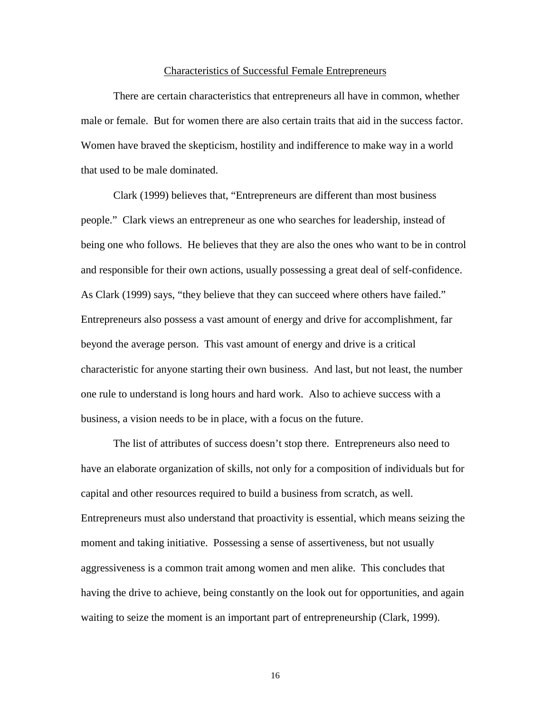#### Characteristics of Successful Female Entrepreneurs

There are certain characteristics that entrepreneurs all have in common, whether male or female. But for women there are also certain traits that aid in the success factor. Women have braved the skepticism, hostility and indifference to make way in a world that used to be male dominated.

Clark (1999) believes that, "Entrepreneurs are different than most business people." Clark views an entrepreneur as one who searches for leadership, instead of being one who follows. He believes that they are also the ones who want to be in control and responsible for their own actions, usually possessing a great deal of self-confidence. As Clark (1999) says, "they believe that they can succeed where others have failed." Entrepreneurs also possess a vast amount of energy and drive for accomplishment, far beyond the average person. This vast amount of energy and drive is a critical characteristic for anyone starting their own business. And last, but not least, the number one rule to understand is long hours and hard work. Also to achieve success with a business, a vision needs to be in place, with a focus on the future.

The list of attributes of success doesn't stop there. Entrepreneurs also need to have an elaborate organization of skills, not only for a composition of individuals but for capital and other resources required to build a business from scratch, as well. Entrepreneurs must also understand that proactivity is essential, which means seizing the moment and taking initiative. Possessing a sense of assertiveness, but not usually aggressiveness is a common trait among women and men alike. This concludes that having the drive to achieve, being constantly on the look out for opportunities, and again waiting to seize the moment is an important part of entrepreneurship (Clark, 1999).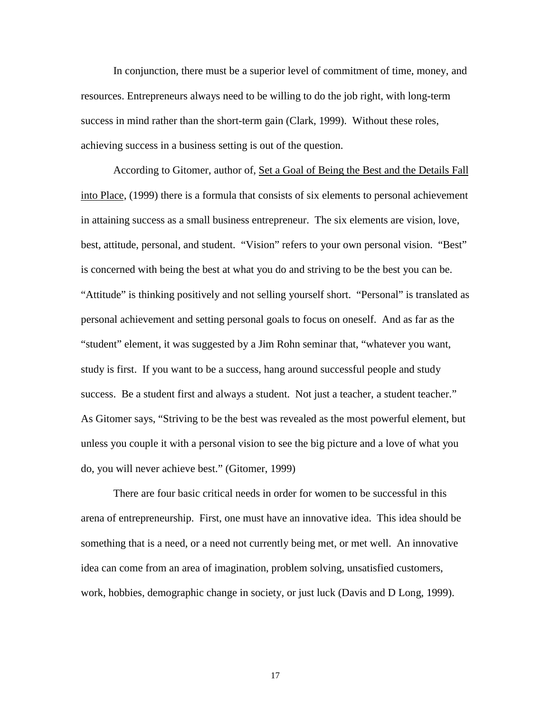In conjunction, there must be a superior level of commitment of time, money, and resources. Entrepreneurs always need to be willing to do the job right, with long-term success in mind rather than the short-term gain (Clark, 1999). Without these roles, achieving success in a business setting is out of the question.

According to Gitomer, author of, Set a Goal of Being the Best and the Details Fall into Place, (1999) there is a formula that consists of six elements to personal achievement in attaining success as a small business entrepreneur. The six elements are vision, love, best, attitude, personal, and student. "Vision" refers to your own personal vision. "Best" is concerned with being the best at what you do and striving to be the best you can be. "Attitude" is thinking positively and not selling yourself short. "Personal" is translated as personal achievement and setting personal goals to focus on oneself. And as far as the "student" element, it was suggested by a Jim Rohn seminar that, "whatever you want, study is first. If you want to be a success, hang around successful people and study success. Be a student first and always a student. Not just a teacher, a student teacher." As Gitomer says, "Striving to be the best was revealed as the most powerful element, but unless you couple it with a personal vision to see the big picture and a love of what you do, you will never achieve best." (Gitomer, 1999)

There are four basic critical needs in order for women to be successful in this arena of entrepreneurship. First, one must have an innovative idea. This idea should be something that is a need, or a need not currently being met, or met well. An innovative idea can come from an area of imagination, problem solving, unsatisfied customers, work, hobbies, demographic change in society, or just luck (Davis and D Long, 1999).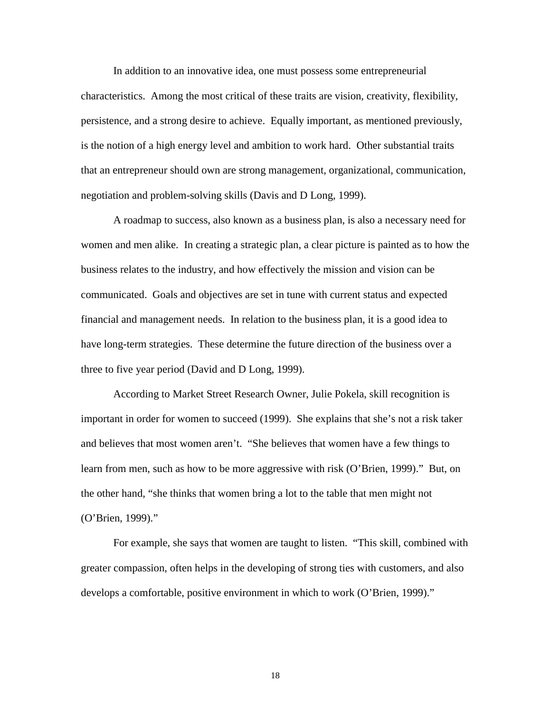In addition to an innovative idea, one must possess some entrepreneurial characteristics. Among the most critical of these traits are vision, creativity, flexibility, persistence, and a strong desire to achieve. Equally important, as mentioned previously, is the notion of a high energy level and ambition to work hard. Other substantial traits that an entrepreneur should own are strong management, organizational, communication, negotiation and problem-solving skills (Davis and D Long, 1999).

A roadmap to success, also known as a business plan, is also a necessary need for women and men alike. In creating a strategic plan, a clear picture is painted as to how the business relates to the industry, and how effectively the mission and vision can be communicated. Goals and objectives are set in tune with current status and expected financial and management needs. In relation to the business plan, it is a good idea to have long-term strategies. These determine the future direction of the business over a three to five year period (David and D Long, 1999).

According to Market Street Research Owner, Julie Pokela, skill recognition is important in order for women to succeed (1999). She explains that she's not a risk taker and believes that most women aren't. "She believes that women have a few things to learn from men, such as how to be more aggressive with risk (O'Brien, 1999)." But, on the other hand, "she thinks that women bring a lot to the table that men might not (O'Brien, 1999)."

For example, she says that women are taught to listen. "This skill, combined with greater compassion, often helps in the developing of strong ties with customers, and also develops a comfortable, positive environment in which to work (O'Brien, 1999)."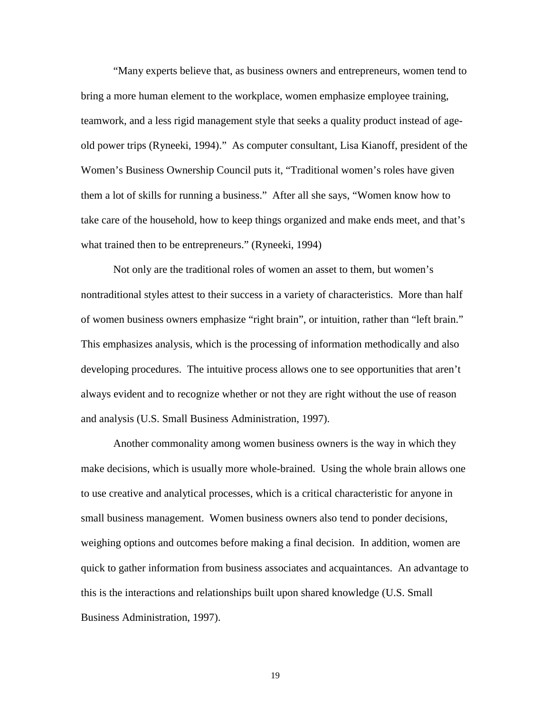"Many experts believe that, as business owners and entrepreneurs, women tend to bring a more human element to the workplace, women emphasize employee training, teamwork, and a less rigid management style that seeks a quality product instead of ageold power trips (Ryneeki, 1994)." As computer consultant, Lisa Kianoff, president of the Women's Business Ownership Council puts it, "Traditional women's roles have given them a lot of skills for running a business." After all she says, "Women know how to take care of the household, how to keep things organized and make ends meet, and that's what trained then to be entrepreneurs." (Ryneeki, 1994)

Not only are the traditional roles of women an asset to them, but women's nontraditional styles attest to their success in a variety of characteristics. More than half of women business owners emphasize "right brain", or intuition, rather than "left brain." This emphasizes analysis, which is the processing of information methodically and also developing procedures. The intuitive process allows one to see opportunities that aren't always evident and to recognize whether or not they are right without the use of reason and analysis (U.S. Small Business Administration, 1997).

Another commonality among women business owners is the way in which they make decisions, which is usually more whole-brained. Using the whole brain allows one to use creative and analytical processes, which is a critical characteristic for anyone in small business management. Women business owners also tend to ponder decisions, weighing options and outcomes before making a final decision. In addition, women are quick to gather information from business associates and acquaintances. An advantage to this is the interactions and relationships built upon shared knowledge (U.S. Small Business Administration, 1997).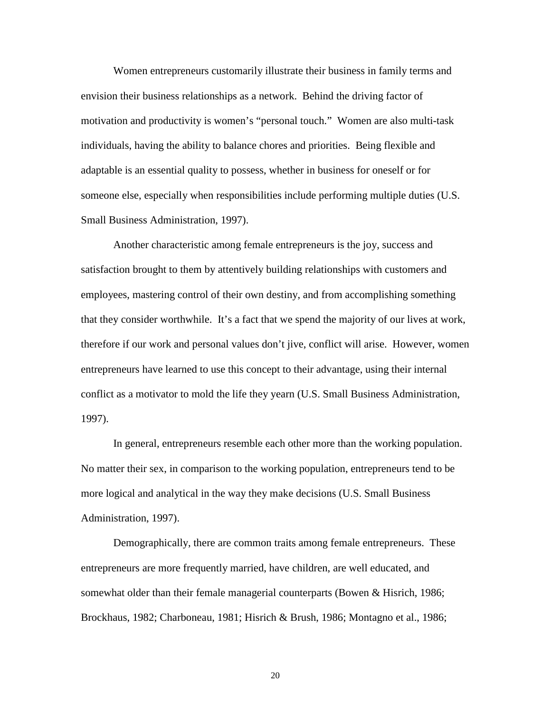Women entrepreneurs customarily illustrate their business in family terms and envision their business relationships as a network. Behind the driving factor of motivation and productivity is women's "personal touch." Women are also multi-task individuals, having the ability to balance chores and priorities. Being flexible and adaptable is an essential quality to possess, whether in business for oneself or for someone else, especially when responsibilities include performing multiple duties (U.S. Small Business Administration, 1997).

Another characteristic among female entrepreneurs is the joy, success and satisfaction brought to them by attentively building relationships with customers and employees, mastering control of their own destiny, and from accomplishing something that they consider worthwhile. It's a fact that we spend the majority of our lives at work, therefore if our work and personal values don't jive, conflict will arise. However, women entrepreneurs have learned to use this concept to their advantage, using their internal conflict as a motivator to mold the life they yearn (U.S. Small Business Administration, 1997).

In general, entrepreneurs resemble each other more than the working population. No matter their sex, in comparison to the working population, entrepreneurs tend to be more logical and analytical in the way they make decisions (U.S. Small Business Administration, 1997).

Demographically, there are common traits among female entrepreneurs. These entrepreneurs are more frequently married, have children, are well educated, and somewhat older than their female managerial counterparts (Bowen & Hisrich, 1986; Brockhaus, 1982; Charboneau, 1981; Hisrich & Brush, 1986; Montagno et al., 1986;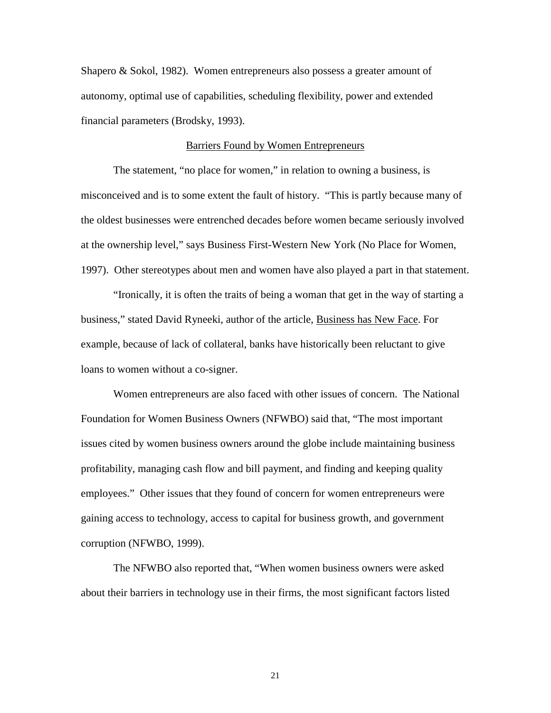Shapero & Sokol, 1982). Women entrepreneurs also possess a greater amount of autonomy, optimal use of capabilities, scheduling flexibility, power and extended financial parameters (Brodsky, 1993).

# Barriers Found by Women Entrepreneurs

The statement, "no place for women," in relation to owning a business, is misconceived and is to some extent the fault of history. "This is partly because many of the oldest businesses were entrenched decades before women became seriously involved at the ownership level," says Business First-Western New York (No Place for Women, 1997). Other stereotypes about men and women have also played a part in that statement.

"Ironically, it is often the traits of being a woman that get in the way of starting a business," stated David Ryneeki, author of the article, Business has New Face. For example, because of lack of collateral, banks have historically been reluctant to give loans to women without a co-signer.

Women entrepreneurs are also faced with other issues of concern. The National Foundation for Women Business Owners (NFWBO) said that, "The most important issues cited by women business owners around the globe include maintaining business profitability, managing cash flow and bill payment, and finding and keeping quality employees." Other issues that they found of concern for women entrepreneurs were gaining access to technology, access to capital for business growth, and government corruption (NFWBO, 1999).

The NFWBO also reported that, "When women business owners were asked about their barriers in technology use in their firms, the most significant factors listed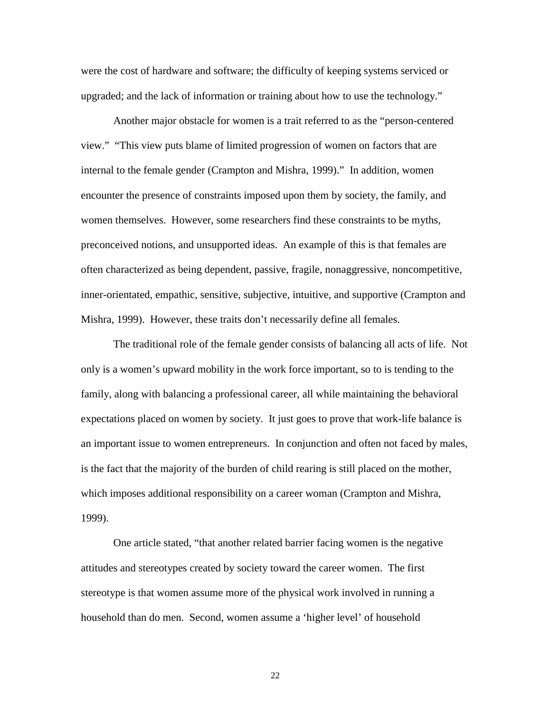were the cost of hardware and software; the difficulty of keeping systems serviced or upgraded; and the lack of information or training about how to use the technology."

Another major obstacle for women is a trait referred to as the "person-centered view." "This view puts blame of limited progression of women on factors that are internal to the female gender (Crampton and Mishra, 1999)." In addition, women encounter the presence of constraints imposed upon them by society, the family, and women themselves. However, some researchers find these constraints to be myths, preconceived notions, and unsupported ideas. An example of this is that females are often characterized as being dependent, passive, fragile, nonaggressive, noncompetitive, inner-orientated, empathic, sensitive, subjective, intuitive, and supportive (Crampton and Mishra, 1999). However, these traits don't necessarily define all females.

The traditional role of the female gender consists of balancing all acts of life. Not only is a women's upward mobility in the work force important, so to is tending to the family, along with balancing a professional career, all while maintaining the behavioral expectations placed on women by society. It just goes to prove that work-life balance is an important issue to women entrepreneurs. In conjunction and often not faced by males, is the fact that the majority of the burden of child rearing is still placed on the mother, which imposes additional responsibility on a career woman (Crampton and Mishra, 1999).

One article stated, "that another related barrier facing women is the negative attitudes and stereotypes created by society toward the career women. The first stereotype is that women assume more of the physical work involved in running a household than do men. Second, women assume a 'higher level' of household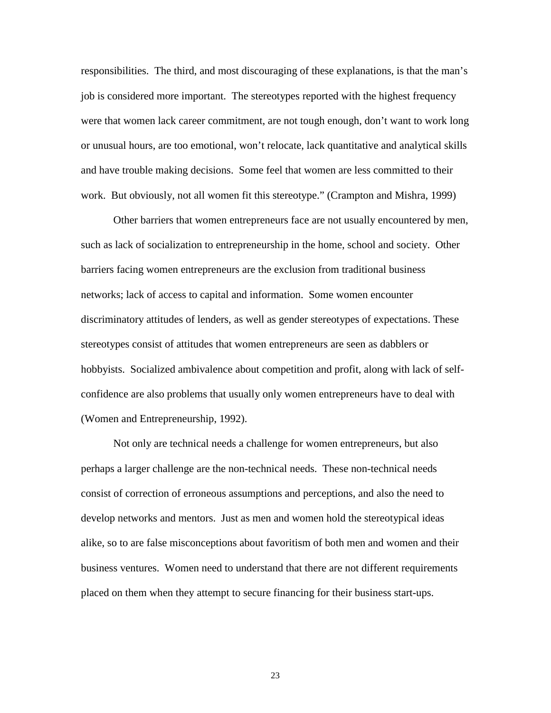responsibilities. The third, and most discouraging of these explanations, is that the man's job is considered more important. The stereotypes reported with the highest frequency were that women lack career commitment, are not tough enough, don't want to work long or unusual hours, are too emotional, won't relocate, lack quantitative and analytical skills and have trouble making decisions. Some feel that women are less committed to their work. But obviously, not all women fit this stereotype." (Crampton and Mishra, 1999)

Other barriers that women entrepreneurs face are not usually encountered by men, such as lack of socialization to entrepreneurship in the home, school and society. Other barriers facing women entrepreneurs are the exclusion from traditional business networks; lack of access to capital and information. Some women encounter discriminatory attitudes of lenders, as well as gender stereotypes of expectations. These stereotypes consist of attitudes that women entrepreneurs are seen as dabblers or hobbyists. Socialized ambivalence about competition and profit, along with lack of selfconfidence are also problems that usually only women entrepreneurs have to deal with (Women and Entrepreneurship, 1992).

Not only are technical needs a challenge for women entrepreneurs, but also perhaps a larger challenge are the non-technical needs. These non-technical needs consist of correction of erroneous assumptions and perceptions, and also the need to develop networks and mentors. Just as men and women hold the stereotypical ideas alike, so to are false misconceptions about favoritism of both men and women and their business ventures. Women need to understand that there are not different requirements placed on them when they attempt to secure financing for their business start-ups.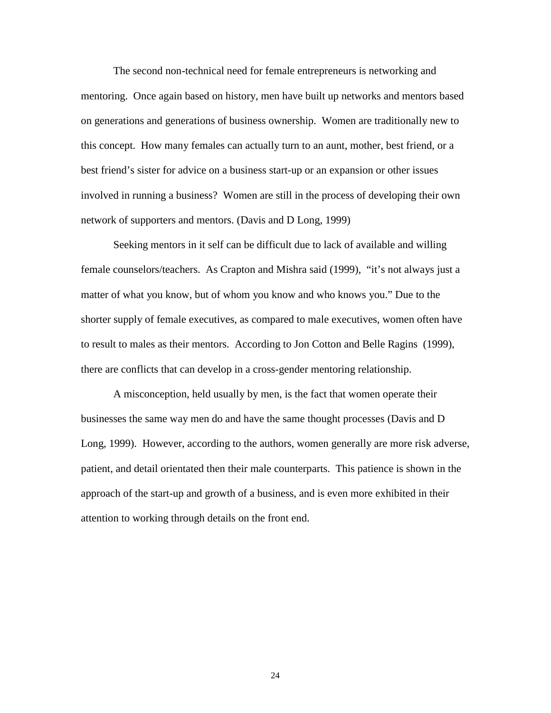The second non-technical need for female entrepreneurs is networking and mentoring. Once again based on history, men have built up networks and mentors based on generations and generations of business ownership. Women are traditionally new to this concept. How many females can actually turn to an aunt, mother, best friend, or a best friend's sister for advice on a business start-up or an expansion or other issues involved in running a business? Women are still in the process of developing their own network of supporters and mentors. (Davis and D Long, 1999)

Seeking mentors in it self can be difficult due to lack of available and willing female counselors/teachers. As Crapton and Mishra said (1999), "it's not always just a matter of what you know, but of whom you know and who knows you." Due to the shorter supply of female executives, as compared to male executives, women often have to result to males as their mentors. According to Jon Cotton and Belle Ragins (1999), there are conflicts that can develop in a cross-gender mentoring relationship.

A misconception, held usually by men, is the fact that women operate their businesses the same way men do and have the same thought processes (Davis and D Long, 1999). However, according to the authors, women generally are more risk adverse, patient, and detail orientated then their male counterparts. This patience is shown in the approach of the start-up and growth of a business, and is even more exhibited in their attention to working through details on the front end.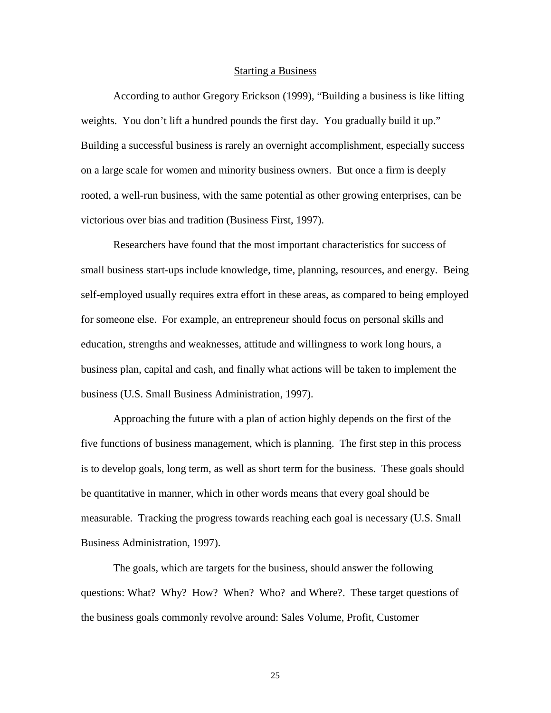#### Starting a Business

According to author Gregory Erickson (1999), "Building a business is like lifting weights. You don't lift a hundred pounds the first day. You gradually build it up." Building a successful business is rarely an overnight accomplishment, especially success on a large scale for women and minority business owners. But once a firm is deeply rooted, a well-run business, with the same potential as other growing enterprises, can be victorious over bias and tradition (Business First, 1997).

Researchers have found that the most important characteristics for success of small business start-ups include knowledge, time, planning, resources, and energy. Being self-employed usually requires extra effort in these areas, as compared to being employed for someone else. For example, an entrepreneur should focus on personal skills and education, strengths and weaknesses, attitude and willingness to work long hours, a business plan, capital and cash, and finally what actions will be taken to implement the business (U.S. Small Business Administration, 1997).

Approaching the future with a plan of action highly depends on the first of the five functions of business management, which is planning. The first step in this process is to develop goals, long term, as well as short term for the business. These goals should be quantitative in manner, which in other words means that every goal should be measurable. Tracking the progress towards reaching each goal is necessary (U.S. Small Business Administration, 1997).

The goals, which are targets for the business, should answer the following questions: What? Why? How? When? Who? and Where?. These target questions of the business goals commonly revolve around: Sales Volume, Profit, Customer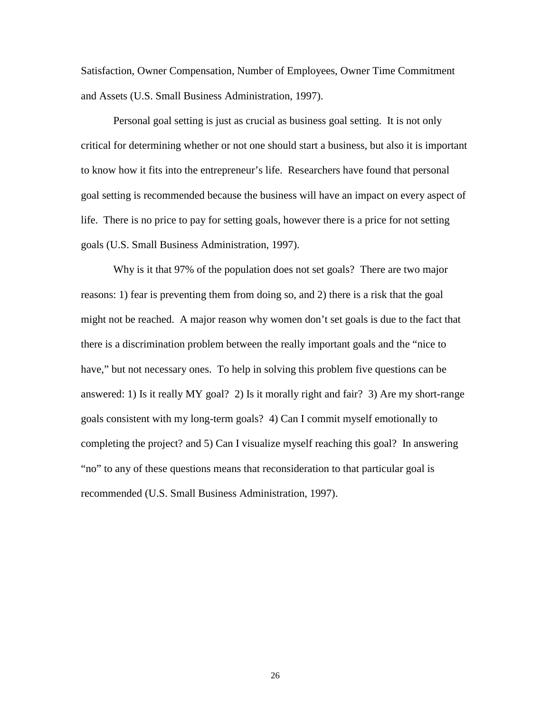Satisfaction, Owner Compensation, Number of Employees, Owner Time Commitment and Assets (U.S. Small Business Administration, 1997).

Personal goal setting is just as crucial as business goal setting. It is not only critical for determining whether or not one should start a business, but also it is important to know how it fits into the entrepreneur's life. Researchers have found that personal goal setting is recommended because the business will have an impact on every aspect of life. There is no price to pay for setting goals, however there is a price for not setting goals (U.S. Small Business Administration, 1997).

Why is it that 97% of the population does not set goals? There are two major reasons: 1) fear is preventing them from doing so, and 2) there is a risk that the goal might not be reached. A major reason why women don't set goals is due to the fact that there is a discrimination problem between the really important goals and the "nice to have," but not necessary ones. To help in solving this problem five questions can be answered: 1) Is it really MY goal? 2) Is it morally right and fair? 3) Are my short-range goals consistent with my long-term goals? 4) Can I commit myself emotionally to completing the project? and 5) Can I visualize myself reaching this goal? In answering "no" to any of these questions means that reconsideration to that particular goal is recommended (U.S. Small Business Administration, 1997).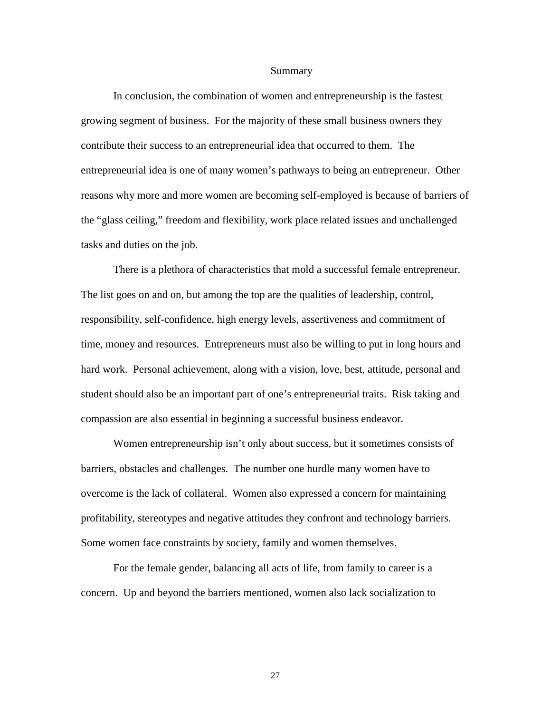#### Summary

In conclusion, the combination of women and entrepreneurship is the fastest growing segment of business. For the majority of these small business owners they contribute their success to an entrepreneurial idea that occurred to them. The entrepreneurial idea is one of many women's pathways to being an entrepreneur. Other reasons why more and more women are becoming self-employed is because of barriers of the "glass ceiling," freedom and flexibility, work place related issues and unchallenged tasks and duties on the job.

There is a plethora of characteristics that mold a successful female entrepreneur. The list goes on and on, but among the top are the qualities of leadership, control, responsibility, self-confidence, high energy levels, assertiveness and commitment of time, money and resources. Entrepreneurs must also be willing to put in long hours and hard work. Personal achievement, along with a vision, love, best, attitude, personal and student should also be an important part of one's entrepreneurial traits. Risk taking and compassion are also essential in beginning a successful business endeavor.

Women entrepreneurship isn't only about success, but it sometimes consists of barriers, obstacles and challenges. The number one hurdle many women have to overcome is the lack of collateral. Women also expressed a concern for maintaining profitability, stereotypes and negative attitudes they confront and technology barriers. Some women face constraints by society, family and women themselves.

For the female gender, balancing all acts of life, from family to career is a concern. Up and beyond the barriers mentioned, women also lack socialization to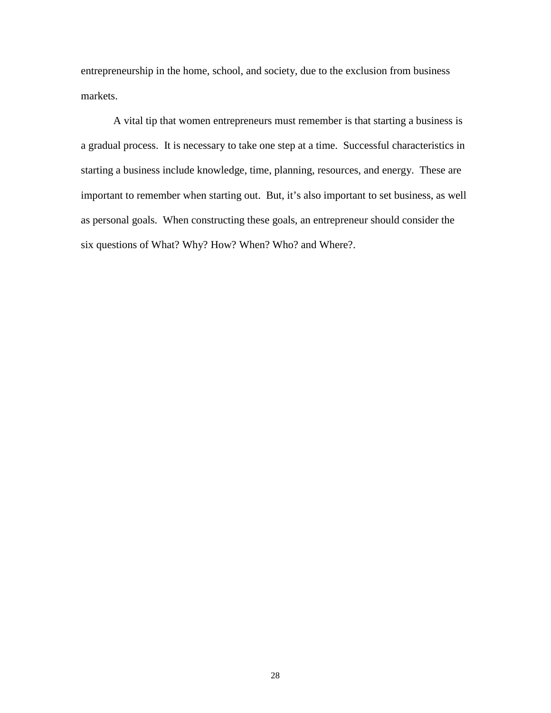entrepreneurship in the home, school, and society, due to the exclusion from business markets.

A vital tip that women entrepreneurs must remember is that starting a business is a gradual process. It is necessary to take one step at a time. Successful characteristics in starting a business include knowledge, time, planning, resources, and energy. These are important to remember when starting out. But, it's also important to set business, as well as personal goals. When constructing these goals, an entrepreneur should consider the six questions of What? Why? How? When? Who? and Where?.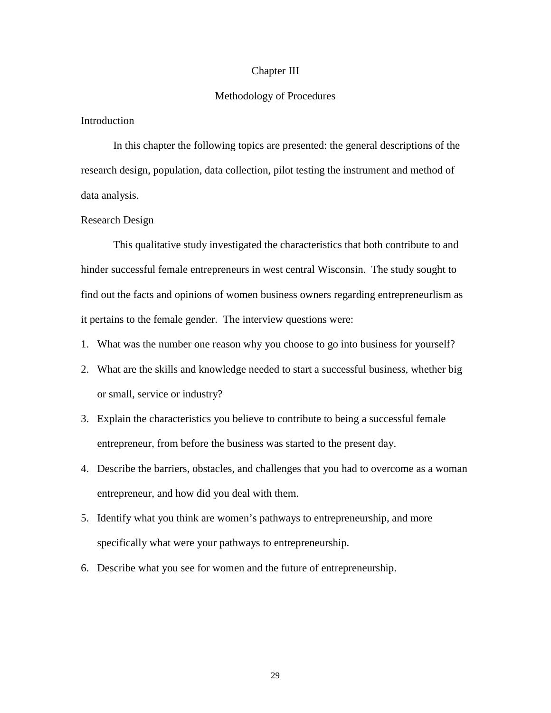#### Chapter III

### Methodology of Procedures

# Introduction

In this chapter the following topics are presented: the general descriptions of the research design, population, data collection, pilot testing the instrument and method of data analysis.

# Research Design

This qualitative study investigated the characteristics that both contribute to and hinder successful female entrepreneurs in west central Wisconsin. The study sought to find out the facts and opinions of women business owners regarding entrepreneurlism as it pertains to the female gender. The interview questions were:

- 1. What was the number one reason why you choose to go into business for yourself?
- 2. What are the skills and knowledge needed to start a successful business, whether big or small, service or industry?
- 3. Explain the characteristics you believe to contribute to being a successful female entrepreneur, from before the business was started to the present day.
- 4. Describe the barriers, obstacles, and challenges that you had to overcome as a woman entrepreneur, and how did you deal with them.
- 5. Identify what you think are women's pathways to entrepreneurship, and more specifically what were your pathways to entrepreneurship.
- 6. Describe what you see for women and the future of entrepreneurship.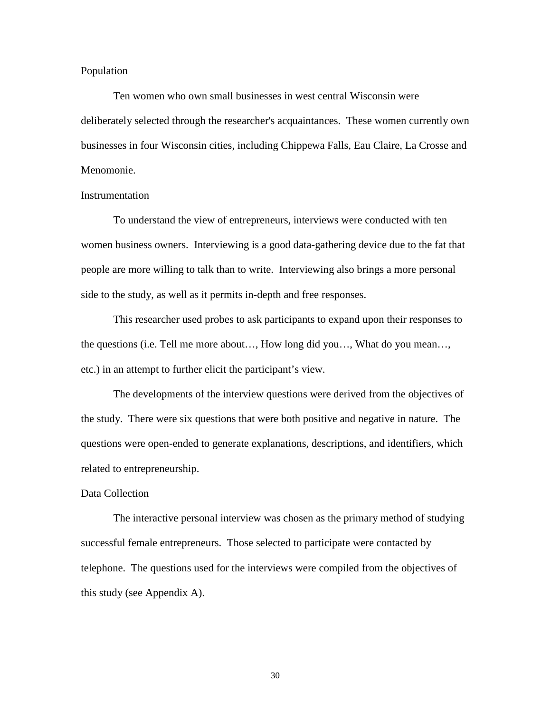### Population

Ten women who own small businesses in west central Wisconsin were deliberately selected through the researcher's acquaintances. These women currently own businesses in four Wisconsin cities, including Chippewa Falls, Eau Claire, La Crosse and Menomonie.

# **Instrumentation**

To understand the view of entrepreneurs, interviews were conducted with ten women business owners. Interviewing is a good data-gathering device due to the fat that people are more willing to talk than to write. Interviewing also brings a more personal side to the study, as well as it permits in-depth and free responses.

This researcher used probes to ask participants to expand upon their responses to the questions (i.e. Tell me more about…, How long did you…, What do you mean…, etc.) in an attempt to further elicit the participant's view.

The developments of the interview questions were derived from the objectives of the study. There were six questions that were both positive and negative in nature. The questions were open-ended to generate explanations, descriptions, and identifiers, which related to entrepreneurship.

#### Data Collection

The interactive personal interview was chosen as the primary method of studying successful female entrepreneurs. Those selected to participate were contacted by telephone. The questions used for the interviews were compiled from the objectives of this study (see Appendix A).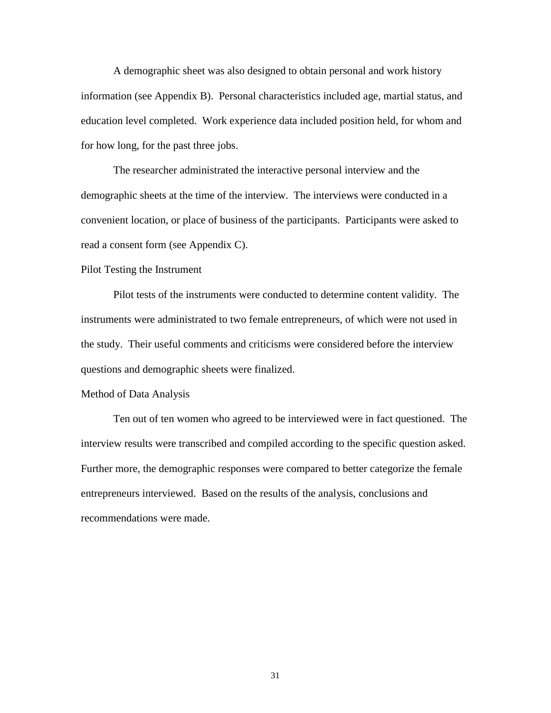A demographic sheet was also designed to obtain personal and work history information (see Appendix B). Personal characteristics included age, martial status, and education level completed. Work experience data included position held, for whom and for how long, for the past three jobs.

The researcher administrated the interactive personal interview and the demographic sheets at the time of the interview. The interviews were conducted in a convenient location, or place of business of the participants. Participants were asked to read a consent form (see Appendix C).

## Pilot Testing the Instrument

Pilot tests of the instruments were conducted to determine content validity. The instruments were administrated to two female entrepreneurs, of which were not used in the study. Their useful comments and criticisms were considered before the interview questions and demographic sheets were finalized.

#### Method of Data Analysis

Ten out of ten women who agreed to be interviewed were in fact questioned. The interview results were transcribed and compiled according to the specific question asked. Further more, the demographic responses were compared to better categorize the female entrepreneurs interviewed. Based on the results of the analysis, conclusions and recommendations were made.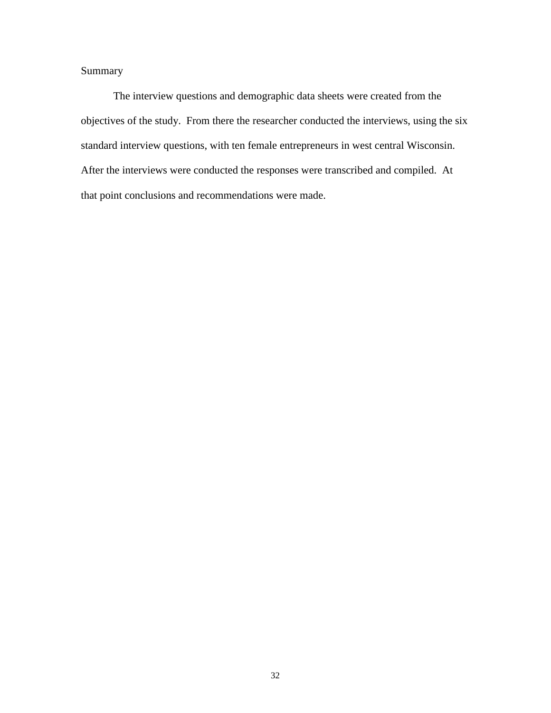Summary

The interview questions and demographic data sheets were created from the objectives of the study. From there the researcher conducted the interviews, using the six standard interview questions, with ten female entrepreneurs in west central Wisconsin. After the interviews were conducted the responses were transcribed and compiled. At that point conclusions and recommendations were made.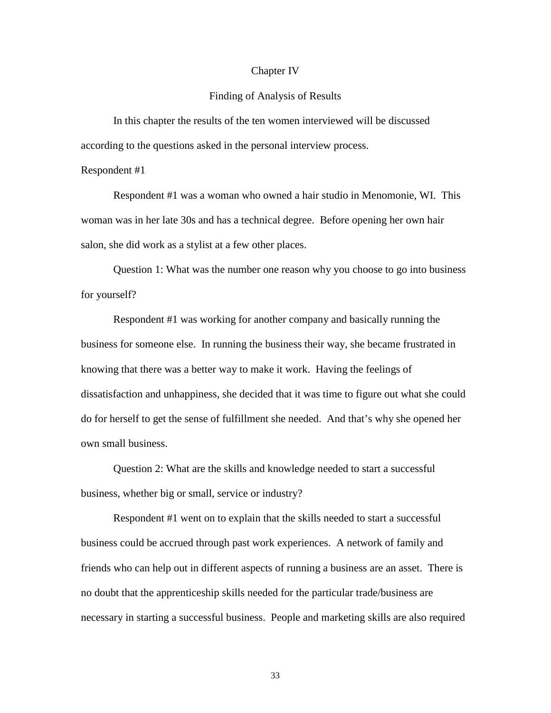#### Chapter IV

# Finding of Analysis of Results

In this chapter the results of the ten women interviewed will be discussed according to the questions asked in the personal interview process.

#### Respondent #1

Respondent #1 was a woman who owned a hair studio in Menomonie, WI. This woman was in her late 30s and has a technical degree. Before opening her own hair salon, she did work as a stylist at a few other places.

Question 1: What was the number one reason why you choose to go into business for yourself?

Respondent #1 was working for another company and basically running the business for someone else. In running the business their way, she became frustrated in knowing that there was a better way to make it work. Having the feelings of dissatisfaction and unhappiness, she decided that it was time to figure out what she could do for herself to get the sense of fulfillment she needed. And that's why she opened her own small business.

Question 2: What are the skills and knowledge needed to start a successful business, whether big or small, service or industry?

Respondent #1 went on to explain that the skills needed to start a successful business could be accrued through past work experiences. A network of family and friends who can help out in different aspects of running a business are an asset. There is no doubt that the apprenticeship skills needed for the particular trade/business are necessary in starting a successful business. People and marketing skills are also required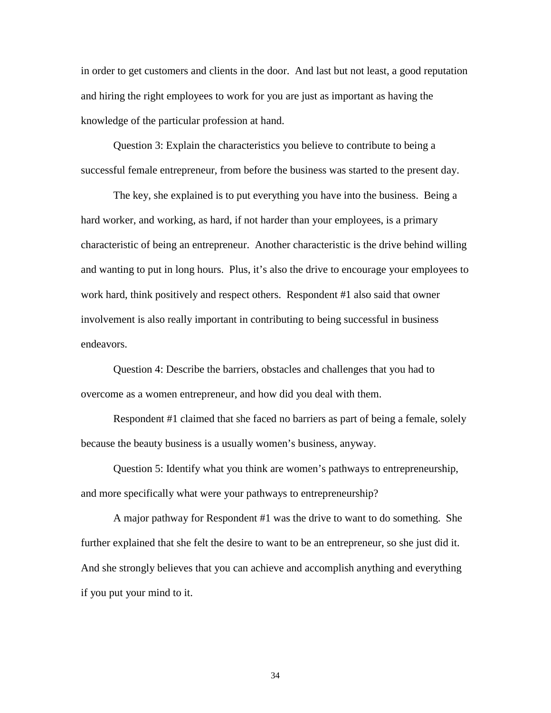in order to get customers and clients in the door. And last but not least, a good reputation and hiring the right employees to work for you are just as important as having the knowledge of the particular profession at hand.

Question 3: Explain the characteristics you believe to contribute to being a successful female entrepreneur, from before the business was started to the present day.

The key, she explained is to put everything you have into the business. Being a hard worker, and working, as hard, if not harder than your employees, is a primary characteristic of being an entrepreneur. Another characteristic is the drive behind willing and wanting to put in long hours. Plus, it's also the drive to encourage your employees to work hard, think positively and respect others. Respondent #1 also said that owner involvement is also really important in contributing to being successful in business endeavors.

Question 4: Describe the barriers, obstacles and challenges that you had to overcome as a women entrepreneur, and how did you deal with them.

Respondent #1 claimed that she faced no barriers as part of being a female, solely because the beauty business is a usually women's business, anyway.

Question 5: Identify what you think are women's pathways to entrepreneurship, and more specifically what were your pathways to entrepreneurship?

A major pathway for Respondent #1 was the drive to want to do something. She further explained that she felt the desire to want to be an entrepreneur, so she just did it. And she strongly believes that you can achieve and accomplish anything and everything if you put your mind to it.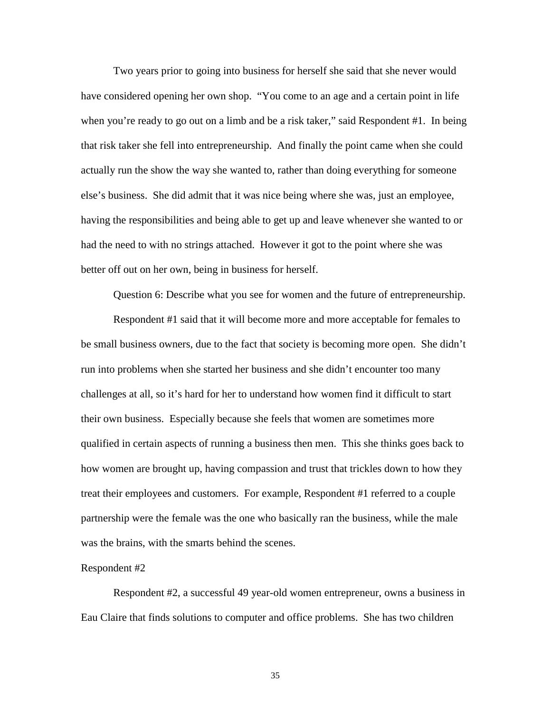Two years prior to going into business for herself she said that she never would have considered opening her own shop. "You come to an age and a certain point in life when you're ready to go out on a limb and be a risk taker," said Respondent #1. In being that risk taker she fell into entrepreneurship. And finally the point came when she could actually run the show the way she wanted to, rather than doing everything for someone else's business. She did admit that it was nice being where she was, just an employee, having the responsibilities and being able to get up and leave whenever she wanted to or had the need to with no strings attached. However it got to the point where she was better off out on her own, being in business for herself.

Question 6: Describe what you see for women and the future of entrepreneurship.

Respondent #1 said that it will become more and more acceptable for females to be small business owners, due to the fact that society is becoming more open. She didn't run into problems when she started her business and she didn't encounter too many challenges at all, so it's hard for her to understand how women find it difficult to start their own business. Especially because she feels that women are sometimes more qualified in certain aspects of running a business then men. This she thinks goes back to how women are brought up, having compassion and trust that trickles down to how they treat their employees and customers. For example, Respondent #1 referred to a couple partnership were the female was the one who basically ran the business, while the male was the brains, with the smarts behind the scenes.

#### Respondent #2

Respondent #2, a successful 49 year-old women entrepreneur, owns a business in Eau Claire that finds solutions to computer and office problems. She has two children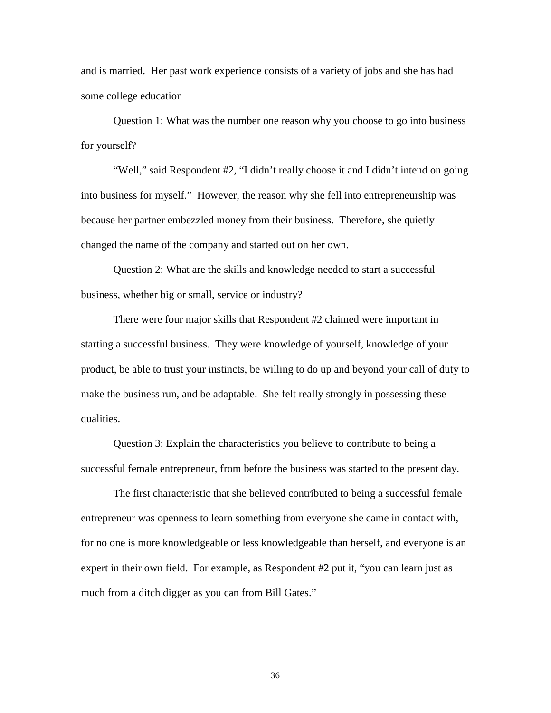and is married. Her past work experience consists of a variety of jobs and she has had some college education

Question 1: What was the number one reason why you choose to go into business for yourself?

"Well," said Respondent #2, "I didn't really choose it and I didn't intend on going into business for myself." However, the reason why she fell into entrepreneurship was because her partner embezzled money from their business. Therefore, she quietly changed the name of the company and started out on her own.

Question 2: What are the skills and knowledge needed to start a successful business, whether big or small, service or industry?

There were four major skills that Respondent #2 claimed were important in starting a successful business. They were knowledge of yourself, knowledge of your product, be able to trust your instincts, be willing to do up and beyond your call of duty to make the business run, and be adaptable. She felt really strongly in possessing these qualities.

Question 3: Explain the characteristics you believe to contribute to being a successful female entrepreneur, from before the business was started to the present day.

The first characteristic that she believed contributed to being a successful female entrepreneur was openness to learn something from everyone she came in contact with, for no one is more knowledgeable or less knowledgeable than herself, and everyone is an expert in their own field. For example, as Respondent #2 put it, "you can learn just as much from a ditch digger as you can from Bill Gates."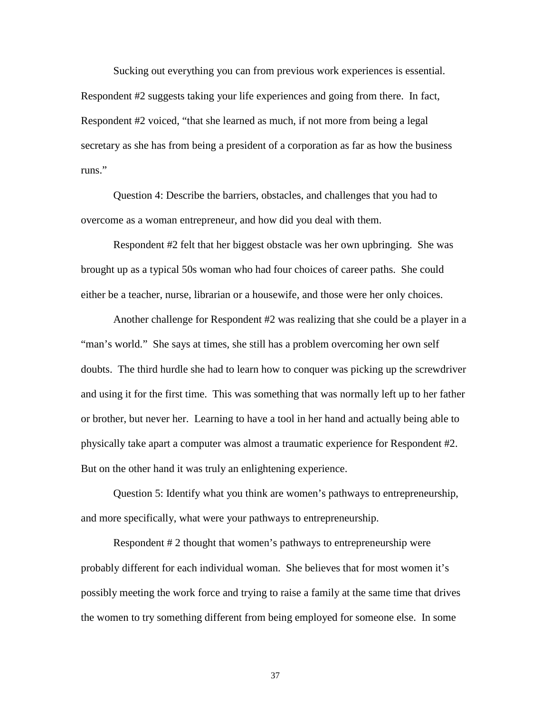Sucking out everything you can from previous work experiences is essential. Respondent #2 suggests taking your life experiences and going from there. In fact, Respondent #2 voiced, "that she learned as much, if not more from being a legal secretary as she has from being a president of a corporation as far as how the business runs."

Question 4: Describe the barriers, obstacles, and challenges that you had to overcome as a woman entrepreneur, and how did you deal with them.

Respondent #2 felt that her biggest obstacle was her own upbringing. She was brought up as a typical 50s woman who had four choices of career paths. She could either be a teacher, nurse, librarian or a housewife, and those were her only choices.

Another challenge for Respondent #2 was realizing that she could be a player in a "man's world." She says at times, she still has a problem overcoming her own self doubts. The third hurdle she had to learn how to conquer was picking up the screwdriver and using it for the first time. This was something that was normally left up to her father or brother, but never her. Learning to have a tool in her hand and actually being able to physically take apart a computer was almost a traumatic experience for Respondent #2. But on the other hand it was truly an enlightening experience.

Question 5: Identify what you think are women's pathways to entrepreneurship, and more specifically, what were your pathways to entrepreneurship.

Respondent #2 thought that women's pathways to entrepreneurship were probably different for each individual woman. She believes that for most women it's possibly meeting the work force and trying to raise a family at the same time that drives the women to try something different from being employed for someone else. In some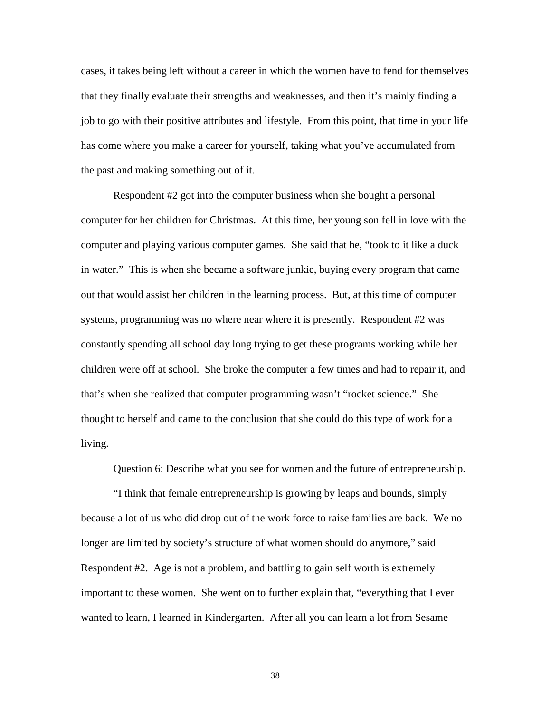cases, it takes being left without a career in which the women have to fend for themselves that they finally evaluate their strengths and weaknesses, and then it's mainly finding a job to go with their positive attributes and lifestyle. From this point, that time in your life has come where you make a career for yourself, taking what you've accumulated from the past and making something out of it.

Respondent #2 got into the computer business when she bought a personal computer for her children for Christmas. At this time, her young son fell in love with the computer and playing various computer games. She said that he, "took to it like a duck in water." This is when she became a software junkie, buying every program that came out that would assist her children in the learning process. But, at this time of computer systems, programming was no where near where it is presently. Respondent #2 was constantly spending all school day long trying to get these programs working while her children were off at school. She broke the computer a few times and had to repair it, and that's when she realized that computer programming wasn't "rocket science." She thought to herself and came to the conclusion that she could do this type of work for a living.

Question 6: Describe what you see for women and the future of entrepreneurship.

"I think that female entrepreneurship is growing by leaps and bounds, simply because a lot of us who did drop out of the work force to raise families are back. We no longer are limited by society's structure of what women should do anymore," said Respondent #2. Age is not a problem, and battling to gain self worth is extremely important to these women. She went on to further explain that, "everything that I ever wanted to learn, I learned in Kindergarten. After all you can learn a lot from Sesame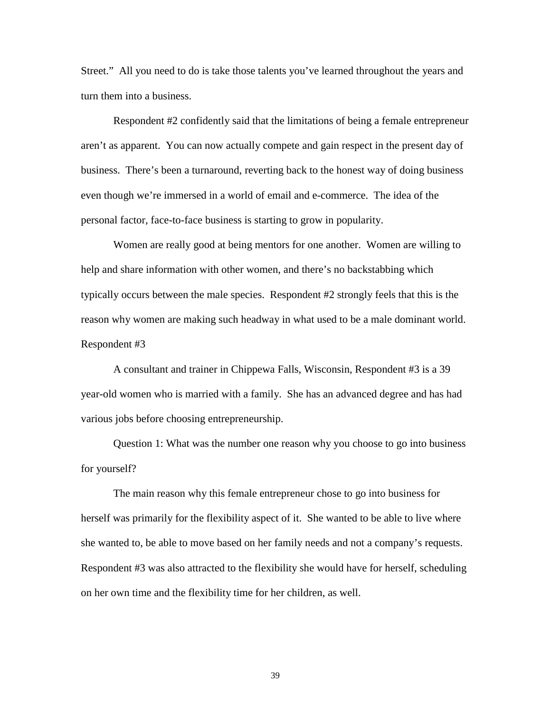Street." All you need to do is take those talents you've learned throughout the years and turn them into a business.

Respondent #2 confidently said that the limitations of being a female entrepreneur aren't as apparent. You can now actually compete and gain respect in the present day of business. There's been a turnaround, reverting back to the honest way of doing business even though we're immersed in a world of email and e-commerce. The idea of the personal factor, face-to-face business is starting to grow in popularity.

Women are really good at being mentors for one another. Women are willing to help and share information with other women, and there's no backstabbing which typically occurs between the male species. Respondent #2 strongly feels that this is the reason why women are making such headway in what used to be a male dominant world. Respondent #3

A consultant and trainer in Chippewa Falls, Wisconsin, Respondent #3 is a 39 year-old women who is married with a family. She has an advanced degree and has had various jobs before choosing entrepreneurship.

Question 1: What was the number one reason why you choose to go into business for yourself?

The main reason why this female entrepreneur chose to go into business for herself was primarily for the flexibility aspect of it. She wanted to be able to live where she wanted to, be able to move based on her family needs and not a company's requests. Respondent #3 was also attracted to the flexibility she would have for herself, scheduling on her own time and the flexibility time for her children, as well.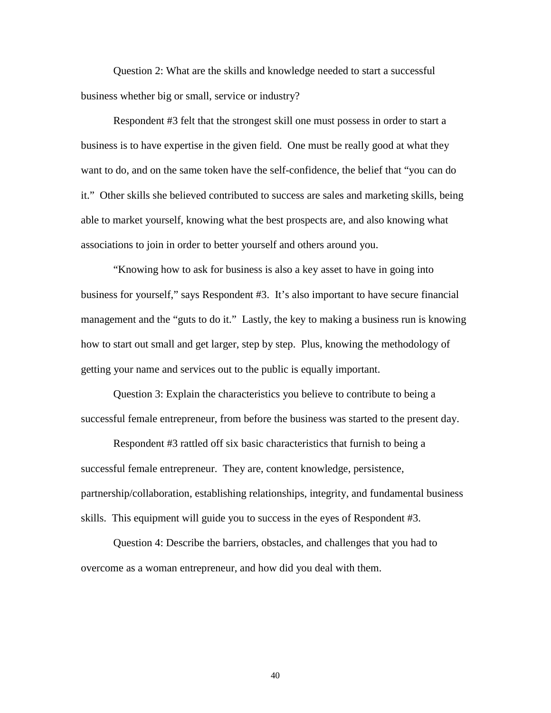Question 2: What are the skills and knowledge needed to start a successful business whether big or small, service or industry?

Respondent #3 felt that the strongest skill one must possess in order to start a business is to have expertise in the given field. One must be really good at what they want to do, and on the same token have the self-confidence, the belief that "you can do it." Other skills she believed contributed to success are sales and marketing skills, being able to market yourself, knowing what the best prospects are, and also knowing what associations to join in order to better yourself and others around you.

"Knowing how to ask for business is also a key asset to have in going into business for yourself," says Respondent #3. It's also important to have secure financial management and the "guts to do it." Lastly, the key to making a business run is knowing how to start out small and get larger, step by step. Plus, knowing the methodology of getting your name and services out to the public is equally important.

Question 3: Explain the characteristics you believe to contribute to being a successful female entrepreneur, from before the business was started to the present day.

Respondent #3 rattled off six basic characteristics that furnish to being a successful female entrepreneur. They are, content knowledge, persistence, partnership/collaboration, establishing relationships, integrity, and fundamental business skills. This equipment will guide you to success in the eyes of Respondent #3.

Question 4: Describe the barriers, obstacles, and challenges that you had to overcome as a woman entrepreneur, and how did you deal with them.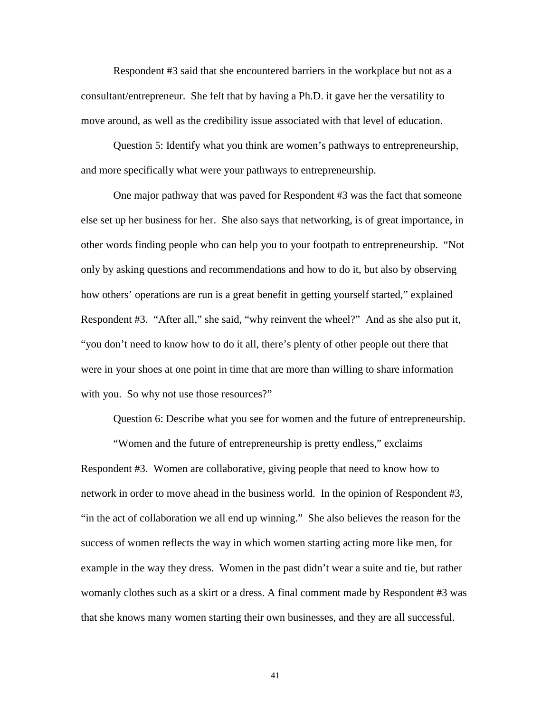Respondent #3 said that she encountered barriers in the workplace but not as a consultant/entrepreneur. She felt that by having a Ph.D. it gave her the versatility to move around, as well as the credibility issue associated with that level of education.

Question 5: Identify what you think are women's pathways to entrepreneurship, and more specifically what were your pathways to entrepreneurship.

One major pathway that was paved for Respondent #3 was the fact that someone else set up her business for her. She also says that networking, is of great importance, in other words finding people who can help you to your footpath to entrepreneurship. "Not only by asking questions and recommendations and how to do it, but also by observing how others' operations are run is a great benefit in getting yourself started," explained Respondent #3. "After all," she said, "why reinvent the wheel?" And as she also put it, "you don't need to know how to do it all, there's plenty of other people out there that were in your shoes at one point in time that are more than willing to share information with you. So why not use those resources?"

Question 6: Describe what you see for women and the future of entrepreneurship.

"Women and the future of entrepreneurship is pretty endless," exclaims Respondent #3. Women are collaborative, giving people that need to know how to network in order to move ahead in the business world. In the opinion of Respondent #3, "in the act of collaboration we all end up winning." She also believes the reason for the success of women reflects the way in which women starting acting more like men, for example in the way they dress. Women in the past didn't wear a suite and tie, but rather womanly clothes such as a skirt or a dress. A final comment made by Respondent #3 was that she knows many women starting their own businesses, and they are all successful.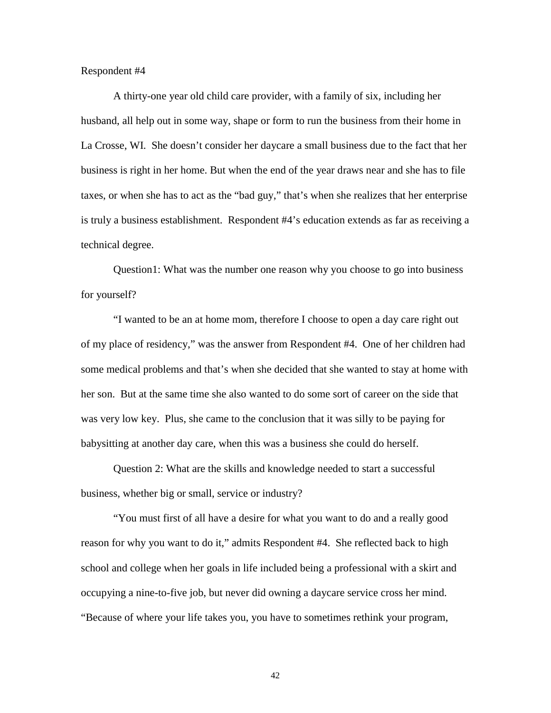## Respondent #4

A thirty-one year old child care provider, with a family of six, including her husband, all help out in some way, shape or form to run the business from their home in La Crosse, WI. She doesn't consider her daycare a small business due to the fact that her business is right in her home. But when the end of the year draws near and she has to file taxes, or when she has to act as the "bad guy," that's when she realizes that her enterprise is truly a business establishment. Respondent #4's education extends as far as receiving a technical degree.

Question1: What was the number one reason why you choose to go into business for yourself?

"I wanted to be an at home mom, therefore I choose to open a day care right out of my place of residency," was the answer from Respondent #4. One of her children had some medical problems and that's when she decided that she wanted to stay at home with her son. But at the same time she also wanted to do some sort of career on the side that was very low key. Plus, she came to the conclusion that it was silly to be paying for babysitting at another day care, when this was a business she could do herself.

Question 2: What are the skills and knowledge needed to start a successful business, whether big or small, service or industry?

"You must first of all have a desire for what you want to do and a really good reason for why you want to do it," admits Respondent #4. She reflected back to high school and college when her goals in life included being a professional with a skirt and occupying a nine-to-five job, but never did owning a daycare service cross her mind. "Because of where your life takes you, you have to sometimes rethink your program,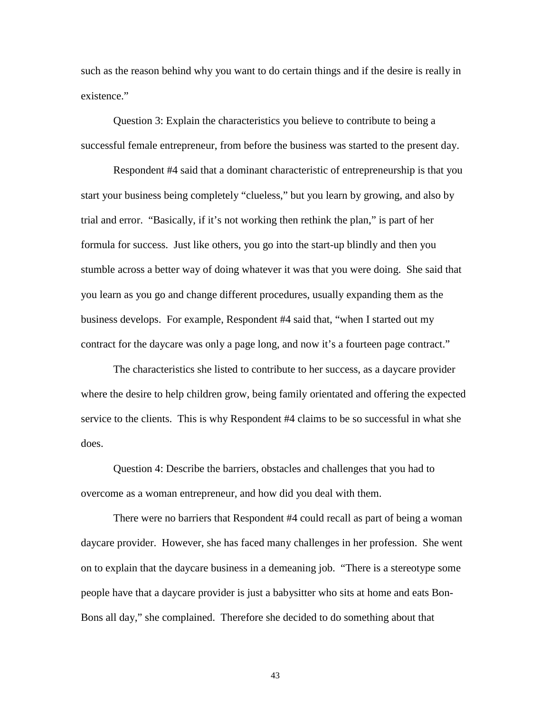such as the reason behind why you want to do certain things and if the desire is really in existence."

Question 3: Explain the characteristics you believe to contribute to being a successful female entrepreneur, from before the business was started to the present day.

Respondent #4 said that a dominant characteristic of entrepreneurship is that you start your business being completely "clueless," but you learn by growing, and also by trial and error. "Basically, if it's not working then rethink the plan," is part of her formula for success. Just like others, you go into the start-up blindly and then you stumble across a better way of doing whatever it was that you were doing. She said that you learn as you go and change different procedures, usually expanding them as the business develops. For example, Respondent #4 said that, "when I started out my contract for the daycare was only a page long, and now it's a fourteen page contract."

The characteristics she listed to contribute to her success, as a daycare provider where the desire to help children grow, being family orientated and offering the expected service to the clients. This is why Respondent #4 claims to be so successful in what she does.

Question 4: Describe the barriers, obstacles and challenges that you had to overcome as a woman entrepreneur, and how did you deal with them.

There were no barriers that Respondent #4 could recall as part of being a woman daycare provider. However, she has faced many challenges in her profession. She went on to explain that the daycare business in a demeaning job. "There is a stereotype some people have that a daycare provider is just a babysitter who sits at home and eats Bon-Bons all day," she complained. Therefore she decided to do something about that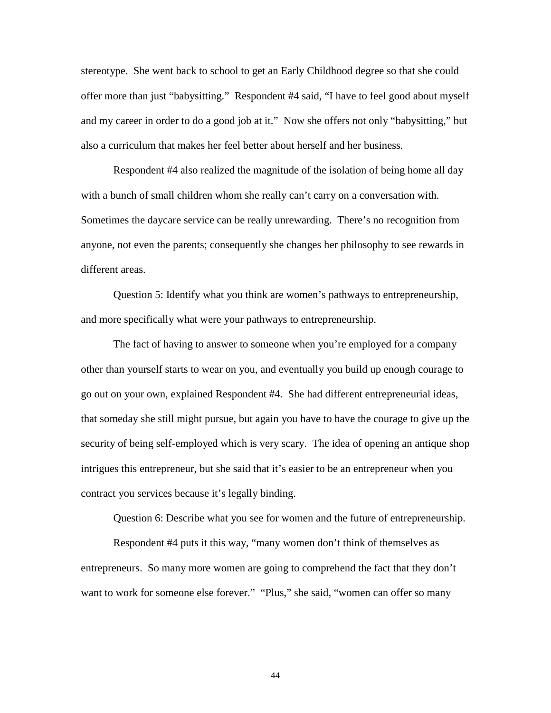stereotype. She went back to school to get an Early Childhood degree so that she could offer more than just "babysitting." Respondent #4 said, "I have to feel good about myself and my career in order to do a good job at it." Now she offers not only "babysitting," but also a curriculum that makes her feel better about herself and her business.

Respondent #4 also realized the magnitude of the isolation of being home all day with a bunch of small children whom she really can't carry on a conversation with. Sometimes the daycare service can be really unrewarding. There's no recognition from anyone, not even the parents; consequently she changes her philosophy to see rewards in different areas.

Question 5: Identify what you think are women's pathways to entrepreneurship, and more specifically what were your pathways to entrepreneurship.

The fact of having to answer to someone when you're employed for a company other than yourself starts to wear on you, and eventually you build up enough courage to go out on your own, explained Respondent #4. She had different entrepreneurial ideas, that someday she still might pursue, but again you have to have the courage to give up the security of being self-employed which is very scary. The idea of opening an antique shop intrigues this entrepreneur, but she said that it's easier to be an entrepreneur when you contract you services because it's legally binding.

Question 6: Describe what you see for women and the future of entrepreneurship.

Respondent #4 puts it this way, "many women don't think of themselves as entrepreneurs. So many more women are going to comprehend the fact that they don't want to work for someone else forever." "Plus," she said, "women can offer so many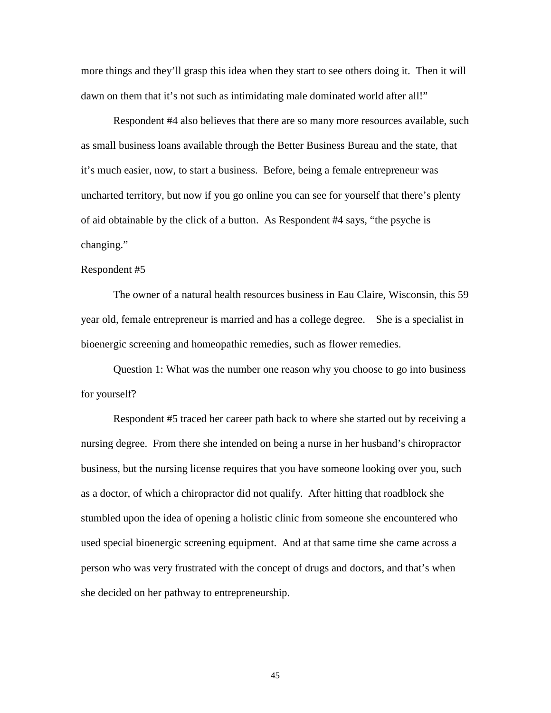more things and they'll grasp this idea when they start to see others doing it. Then it will dawn on them that it's not such as intimidating male dominated world after all!"

Respondent #4 also believes that there are so many more resources available, such as small business loans available through the Better Business Bureau and the state, that it's much easier, now, to start a business. Before, being a female entrepreneur was uncharted territory, but now if you go online you can see for yourself that there's plenty of aid obtainable by the click of a button. As Respondent #4 says, "the psyche is changing."

## Respondent #5

The owner of a natural health resources business in Eau Claire, Wisconsin, this 59 year old, female entrepreneur is married and has a college degree. She is a specialist in bioenergic screening and homeopathic remedies, such as flower remedies.

Question 1: What was the number one reason why you choose to go into business for yourself?

Respondent #5 traced her career path back to where she started out by receiving a nursing degree. From there she intended on being a nurse in her husband's chiropractor business, but the nursing license requires that you have someone looking over you, such as a doctor, of which a chiropractor did not qualify. After hitting that roadblock she stumbled upon the idea of opening a holistic clinic from someone she encountered who used special bioenergic screening equipment. And at that same time she came across a person who was very frustrated with the concept of drugs and doctors, and that's when she decided on her pathway to entrepreneurship.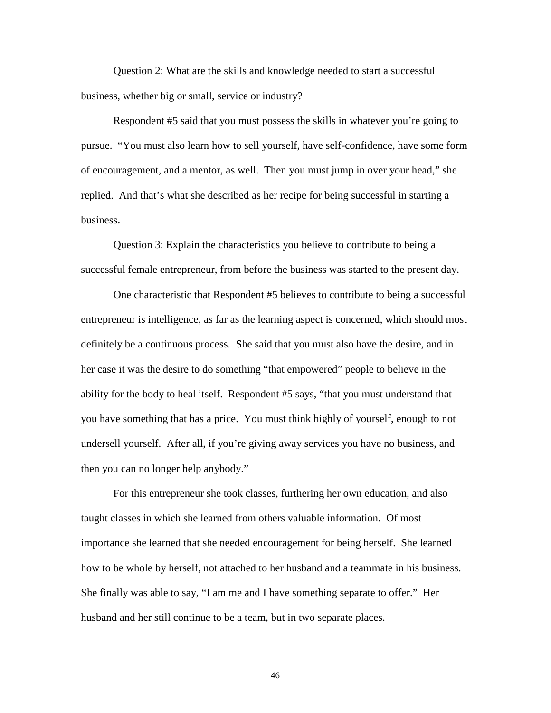Question 2: What are the skills and knowledge needed to start a successful business, whether big or small, service or industry?

Respondent #5 said that you must possess the skills in whatever you're going to pursue. "You must also learn how to sell yourself, have self-confidence, have some form of encouragement, and a mentor, as well. Then you must jump in over your head," she replied. And that's what she described as her recipe for being successful in starting a business.

Question 3: Explain the characteristics you believe to contribute to being a successful female entrepreneur, from before the business was started to the present day.

One characteristic that Respondent #5 believes to contribute to being a successful entrepreneur is intelligence, as far as the learning aspect is concerned, which should most definitely be a continuous process. She said that you must also have the desire, and in her case it was the desire to do something "that empowered" people to believe in the ability for the body to heal itself. Respondent #5 says, "that you must understand that you have something that has a price. You must think highly of yourself, enough to not undersell yourself. After all, if you're giving away services you have no business, and then you can no longer help anybody."

For this entrepreneur she took classes, furthering her own education, and also taught classes in which she learned from others valuable information. Of most importance she learned that she needed encouragement for being herself. She learned how to be whole by herself, not attached to her husband and a teammate in his business. She finally was able to say, "I am me and I have something separate to offer." Her husband and her still continue to be a team, but in two separate places.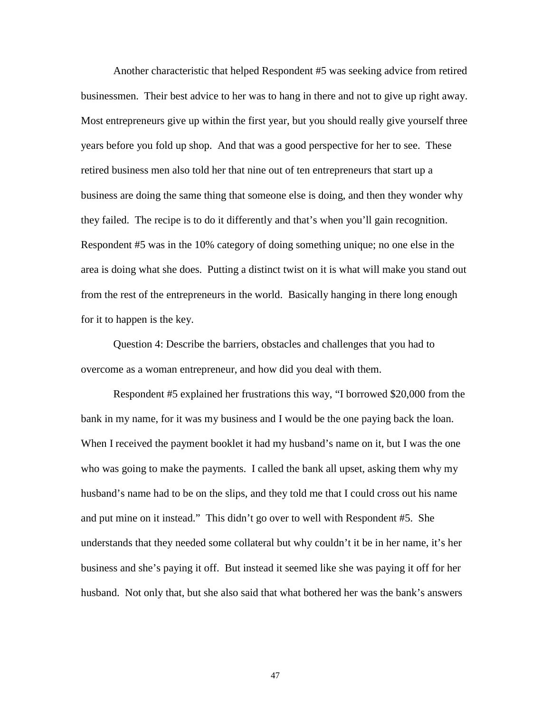Another characteristic that helped Respondent #5 was seeking advice from retired businessmen. Their best advice to her was to hang in there and not to give up right away. Most entrepreneurs give up within the first year, but you should really give yourself three years before you fold up shop. And that was a good perspective for her to see. These retired business men also told her that nine out of ten entrepreneurs that start up a business are doing the same thing that someone else is doing, and then they wonder why they failed. The recipe is to do it differently and that's when you'll gain recognition. Respondent #5 was in the 10% category of doing something unique; no one else in the area is doing what she does. Putting a distinct twist on it is what will make you stand out from the rest of the entrepreneurs in the world. Basically hanging in there long enough for it to happen is the key.

Question 4: Describe the barriers, obstacles and challenges that you had to overcome as a woman entrepreneur, and how did you deal with them.

Respondent #5 explained her frustrations this way, "I borrowed \$20,000 from the bank in my name, for it was my business and I would be the one paying back the loan. When I received the payment booklet it had my husband's name on it, but I was the one who was going to make the payments. I called the bank all upset, asking them why my husband's name had to be on the slips, and they told me that I could cross out his name and put mine on it instead." This didn't go over to well with Respondent #5. She understands that they needed some collateral but why couldn't it be in her name, it's her business and she's paying it off. But instead it seemed like she was paying it off for her husband. Not only that, but she also said that what bothered her was the bank's answers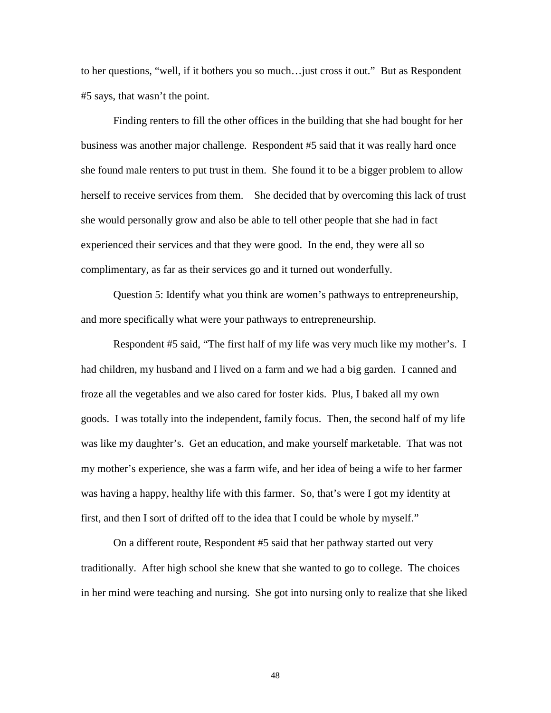to her questions, "well, if it bothers you so much…just cross it out." But as Respondent #5 says, that wasn't the point.

Finding renters to fill the other offices in the building that she had bought for her business was another major challenge. Respondent #5 said that it was really hard once she found male renters to put trust in them. She found it to be a bigger problem to allow herself to receive services from them. She decided that by overcoming this lack of trust she would personally grow and also be able to tell other people that she had in fact experienced their services and that they were good. In the end, they were all so complimentary, as far as their services go and it turned out wonderfully.

Question 5: Identify what you think are women's pathways to entrepreneurship, and more specifically what were your pathways to entrepreneurship.

Respondent #5 said, "The first half of my life was very much like my mother's. I had children, my husband and I lived on a farm and we had a big garden. I canned and froze all the vegetables and we also cared for foster kids. Plus, I baked all my own goods. I was totally into the independent, family focus. Then, the second half of my life was like my daughter's. Get an education, and make yourself marketable. That was not my mother's experience, she was a farm wife, and her idea of being a wife to her farmer was having a happy, healthy life with this farmer. So, that's were I got my identity at first, and then I sort of drifted off to the idea that I could be whole by myself."

On a different route, Respondent #5 said that her pathway started out very traditionally. After high school she knew that she wanted to go to college. The choices in her mind were teaching and nursing. She got into nursing only to realize that she liked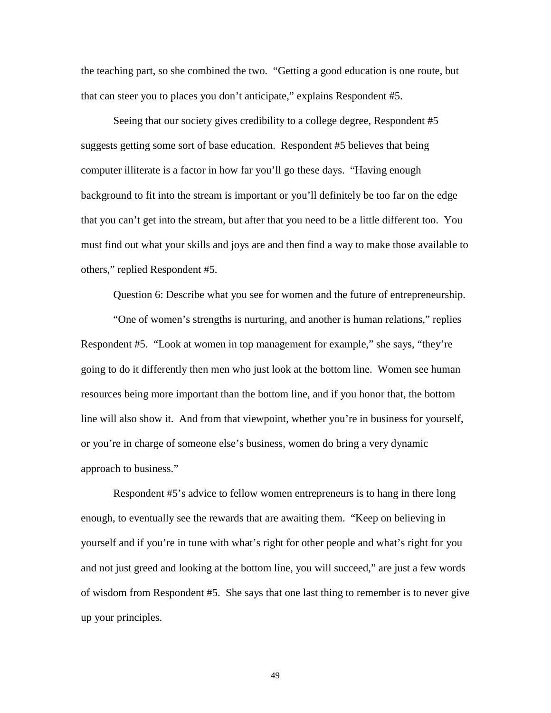the teaching part, so she combined the two. "Getting a good education is one route, but that can steer you to places you don't anticipate," explains Respondent #5.

Seeing that our society gives credibility to a college degree, Respondent #5 suggests getting some sort of base education. Respondent #5 believes that being computer illiterate is a factor in how far you'll go these days. "Having enough background to fit into the stream is important or you'll definitely be too far on the edge that you can't get into the stream, but after that you need to be a little different too. You must find out what your skills and joys are and then find a way to make those available to others," replied Respondent #5.

Question 6: Describe what you see for women and the future of entrepreneurship.

"One of women's strengths is nurturing, and another is human relations," replies Respondent #5. "Look at women in top management for example," she says, "they're going to do it differently then men who just look at the bottom line. Women see human resources being more important than the bottom line, and if you honor that, the bottom line will also show it. And from that viewpoint, whether you're in business for yourself, or you're in charge of someone else's business, women do bring a very dynamic approach to business."

Respondent #5's advice to fellow women entrepreneurs is to hang in there long enough, to eventually see the rewards that are awaiting them. "Keep on believing in yourself and if you're in tune with what's right for other people and what's right for you and not just greed and looking at the bottom line, you will succeed," are just a few words of wisdom from Respondent #5. She says that one last thing to remember is to never give up your principles.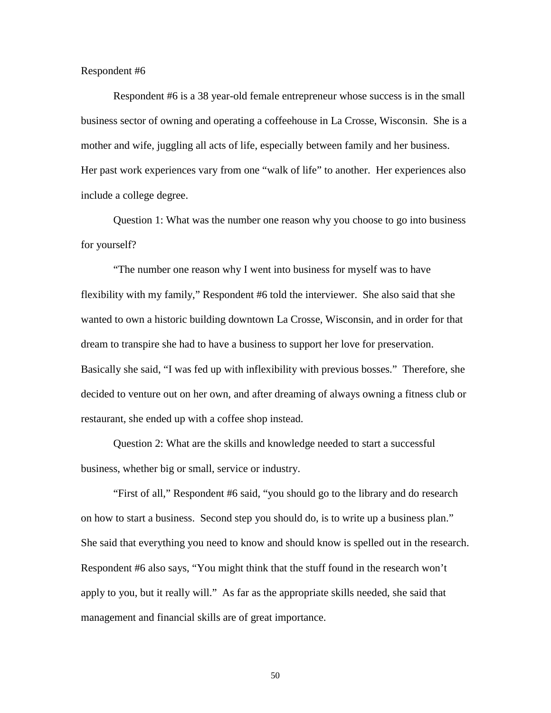#### Respondent #6

Respondent #6 is a 38 year-old female entrepreneur whose success is in the small business sector of owning and operating a coffeehouse in La Crosse, Wisconsin. She is a mother and wife, juggling all acts of life, especially between family and her business. Her past work experiences vary from one "walk of life" to another. Her experiences also include a college degree.

Question 1: What was the number one reason why you choose to go into business for yourself?

"The number one reason why I went into business for myself was to have flexibility with my family," Respondent #6 told the interviewer. She also said that she wanted to own a historic building downtown La Crosse, Wisconsin, and in order for that dream to transpire she had to have a business to support her love for preservation. Basically she said, "I was fed up with inflexibility with previous bosses." Therefore, she decided to venture out on her own, and after dreaming of always owning a fitness club or restaurant, she ended up with a coffee shop instead.

Question 2: What are the skills and knowledge needed to start a successful business, whether big or small, service or industry.

"First of all," Respondent #6 said, "you should go to the library and do research on how to start a business. Second step you should do, is to write up a business plan." She said that everything you need to know and should know is spelled out in the research. Respondent #6 also says, "You might think that the stuff found in the research won't apply to you, but it really will." As far as the appropriate skills needed, she said that management and financial skills are of great importance.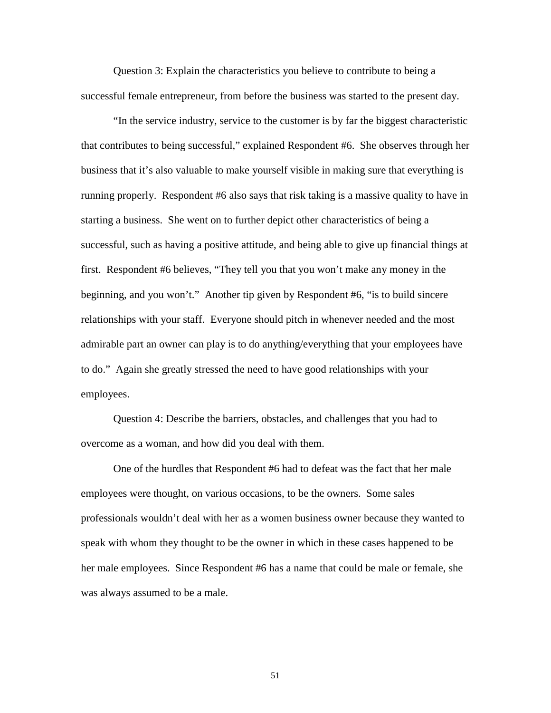Question 3: Explain the characteristics you believe to contribute to being a successful female entrepreneur, from before the business was started to the present day.

"In the service industry, service to the customer is by far the biggest characteristic that contributes to being successful," explained Respondent #6. She observes through her business that it's also valuable to make yourself visible in making sure that everything is running properly. Respondent #6 also says that risk taking is a massive quality to have in starting a business. She went on to further depict other characteristics of being a successful, such as having a positive attitude, and being able to give up financial things at first. Respondent #6 believes, "They tell you that you won't make any money in the beginning, and you won't." Another tip given by Respondent #6, "is to build sincere relationships with your staff. Everyone should pitch in whenever needed and the most admirable part an owner can play is to do anything/everything that your employees have to do." Again she greatly stressed the need to have good relationships with your employees.

Question 4: Describe the barriers, obstacles, and challenges that you had to overcome as a woman, and how did you deal with them.

One of the hurdles that Respondent #6 had to defeat was the fact that her male employees were thought, on various occasions, to be the owners. Some sales professionals wouldn't deal with her as a women business owner because they wanted to speak with whom they thought to be the owner in which in these cases happened to be her male employees. Since Respondent #6 has a name that could be male or female, she was always assumed to be a male.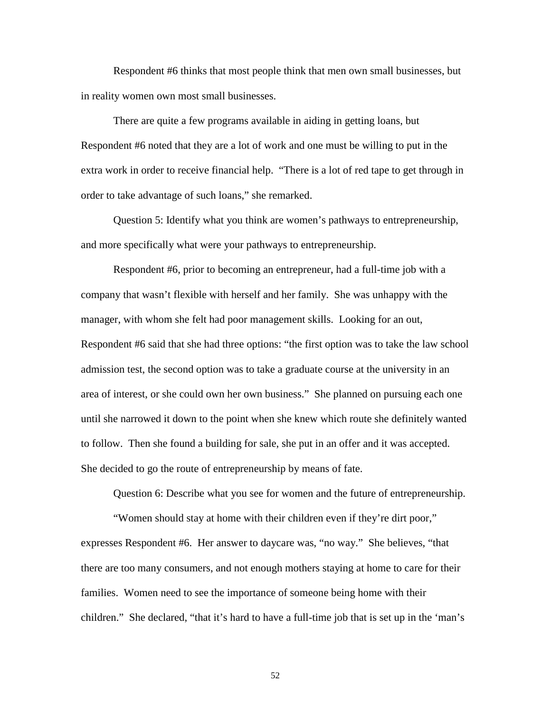Respondent #6 thinks that most people think that men own small businesses, but in reality women own most small businesses.

There are quite a few programs available in aiding in getting loans, but Respondent #6 noted that they are a lot of work and one must be willing to put in the extra work in order to receive financial help. "There is a lot of red tape to get through in order to take advantage of such loans," she remarked.

Question 5: Identify what you think are women's pathways to entrepreneurship, and more specifically what were your pathways to entrepreneurship.

Respondent #6, prior to becoming an entrepreneur, had a full-time job with a company that wasn't flexible with herself and her family. She was unhappy with the manager, with whom she felt had poor management skills. Looking for an out, Respondent #6 said that she had three options: "the first option was to take the law school admission test, the second option was to take a graduate course at the university in an area of interest, or she could own her own business." She planned on pursuing each one until she narrowed it down to the point when she knew which route she definitely wanted to follow. Then she found a building for sale, she put in an offer and it was accepted. She decided to go the route of entrepreneurship by means of fate.

Question 6: Describe what you see for women and the future of entrepreneurship.

"Women should stay at home with their children even if they're dirt poor," expresses Respondent #6. Her answer to daycare was, "no way." She believes, "that there are too many consumers, and not enough mothers staying at home to care for their families. Women need to see the importance of someone being home with their children." She declared, "that it's hard to have a full-time job that is set up in the 'man's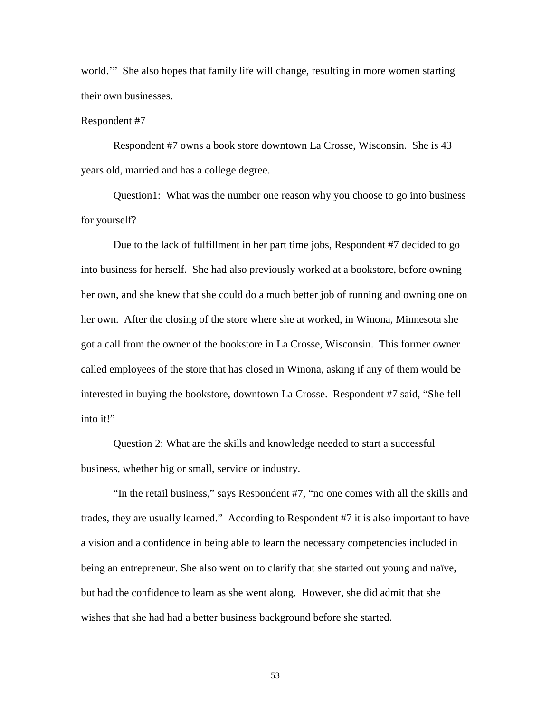world.'" She also hopes that family life will change, resulting in more women starting their own businesses.

#### Respondent #7

Respondent #7 owns a book store downtown La Crosse, Wisconsin. She is 43 years old, married and has a college degree.

Question1: What was the number one reason why you choose to go into business for yourself?

Due to the lack of fulfillment in her part time jobs, Respondent #7 decided to go into business for herself. She had also previously worked at a bookstore, before owning her own, and she knew that she could do a much better job of running and owning one on her own. After the closing of the store where she at worked, in Winona, Minnesota she got a call from the owner of the bookstore in La Crosse, Wisconsin. This former owner called employees of the store that has closed in Winona, asking if any of them would be interested in buying the bookstore, downtown La Crosse. Respondent #7 said, "She fell into it!"

Question 2: What are the skills and knowledge needed to start a successful business, whether big or small, service or industry.

"In the retail business," says Respondent #7, "no one comes with all the skills and trades, they are usually learned." According to Respondent #7 it is also important to have a vision and a confidence in being able to learn the necessary competencies included in being an entrepreneur. She also went on to clarify that she started out young and naïve, but had the confidence to learn as she went along. However, she did admit that she wishes that she had had a better business background before she started.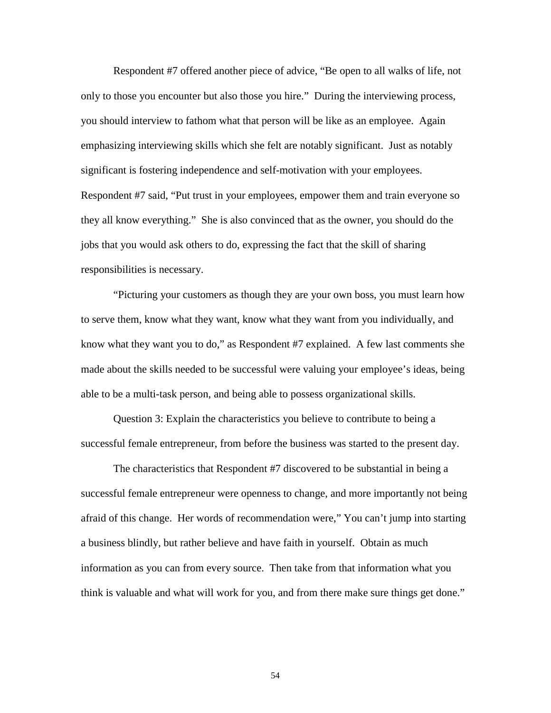Respondent #7 offered another piece of advice, "Be open to all walks of life, not only to those you encounter but also those you hire." During the interviewing process, you should interview to fathom what that person will be like as an employee. Again emphasizing interviewing skills which she felt are notably significant. Just as notably significant is fostering independence and self-motivation with your employees. Respondent #7 said, "Put trust in your employees, empower them and train everyone so they all know everything." She is also convinced that as the owner, you should do the jobs that you would ask others to do, expressing the fact that the skill of sharing responsibilities is necessary.

"Picturing your customers as though they are your own boss, you must learn how to serve them, know what they want, know what they want from you individually, and know what they want you to do," as Respondent #7 explained. A few last comments she made about the skills needed to be successful were valuing your employee's ideas, being able to be a multi-task person, and being able to possess organizational skills.

Question 3: Explain the characteristics you believe to contribute to being a successful female entrepreneur, from before the business was started to the present day.

The characteristics that Respondent #7 discovered to be substantial in being a successful female entrepreneur were openness to change, and more importantly not being afraid of this change. Her words of recommendation were," You can't jump into starting a business blindly, but rather believe and have faith in yourself. Obtain as much information as you can from every source. Then take from that information what you think is valuable and what will work for you, and from there make sure things get done."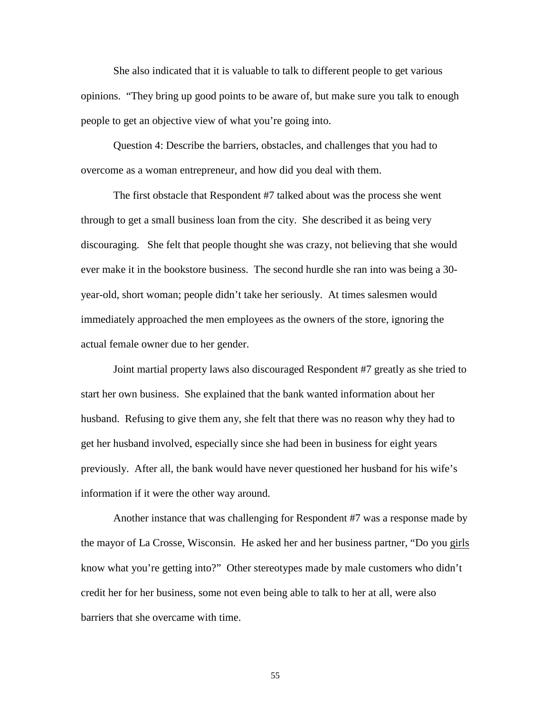She also indicated that it is valuable to talk to different people to get various opinions. "They bring up good points to be aware of, but make sure you talk to enough people to get an objective view of what you're going into.

Question 4: Describe the barriers, obstacles, and challenges that you had to overcome as a woman entrepreneur, and how did you deal with them.

The first obstacle that Respondent #7 talked about was the process she went through to get a small business loan from the city. She described it as being very discouraging. She felt that people thought she was crazy, not believing that she would ever make it in the bookstore business. The second hurdle she ran into was being a 30 year-old, short woman; people didn't take her seriously. At times salesmen would immediately approached the men employees as the owners of the store, ignoring the actual female owner due to her gender.

Joint martial property laws also discouraged Respondent #7 greatly as she tried to start her own business. She explained that the bank wanted information about her husband. Refusing to give them any, she felt that there was no reason why they had to get her husband involved, especially since she had been in business for eight years previously. After all, the bank would have never questioned her husband for his wife's information if it were the other way around.

Another instance that was challenging for Respondent #7 was a response made by the mayor of La Crosse, Wisconsin. He asked her and her business partner, "Do you girls know what you're getting into?" Other stereotypes made by male customers who didn't credit her for her business, some not even being able to talk to her at all, were also barriers that she overcame with time.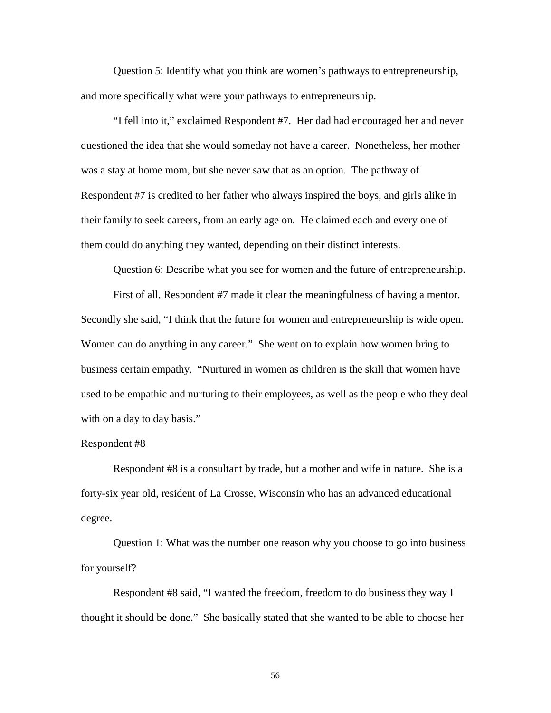Question 5: Identify what you think are women's pathways to entrepreneurship, and more specifically what were your pathways to entrepreneurship.

"I fell into it," exclaimed Respondent #7. Her dad had encouraged her and never questioned the idea that she would someday not have a career. Nonetheless, her mother was a stay at home mom, but she never saw that as an option. The pathway of Respondent #7 is credited to her father who always inspired the boys, and girls alike in their family to seek careers, from an early age on. He claimed each and every one of them could do anything they wanted, depending on their distinct interests.

Question 6: Describe what you see for women and the future of entrepreneurship.

First of all, Respondent #7 made it clear the meaningfulness of having a mentor. Secondly she said, "I think that the future for women and entrepreneurship is wide open. Women can do anything in any career." She went on to explain how women bring to business certain empathy. "Nurtured in women as children is the skill that women have used to be empathic and nurturing to their employees, as well as the people who they deal with on a day to day basis."

#### Respondent #8

Respondent #8 is a consultant by trade, but a mother and wife in nature. She is a forty-six year old, resident of La Crosse, Wisconsin who has an advanced educational degree.

Question 1: What was the number one reason why you choose to go into business for yourself?

Respondent #8 said, "I wanted the freedom, freedom to do business they way I thought it should be done." She basically stated that she wanted to be able to choose her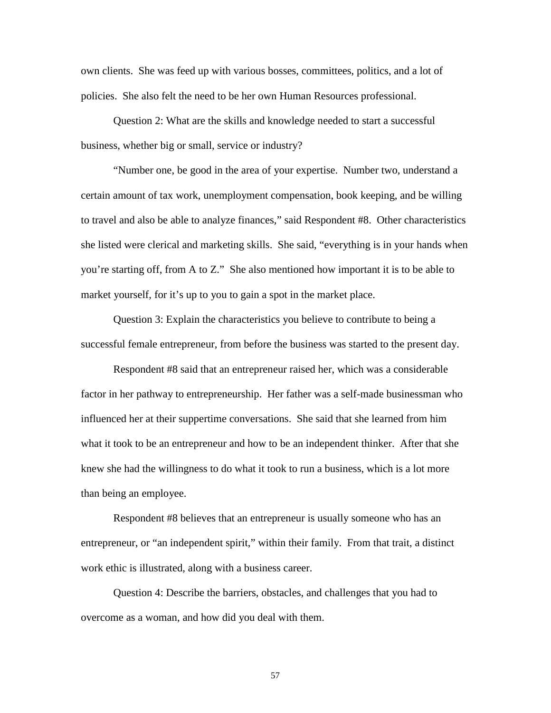own clients. She was feed up with various bosses, committees, politics, and a lot of policies. She also felt the need to be her own Human Resources professional.

Question 2: What are the skills and knowledge needed to start a successful business, whether big or small, service or industry?

"Number one, be good in the area of your expertise. Number two, understand a certain amount of tax work, unemployment compensation, book keeping, and be willing to travel and also be able to analyze finances," said Respondent #8. Other characteristics she listed were clerical and marketing skills. She said, "everything is in your hands when you're starting off, from A to Z." She also mentioned how important it is to be able to market yourself, for it's up to you to gain a spot in the market place.

Question 3: Explain the characteristics you believe to contribute to being a successful female entrepreneur, from before the business was started to the present day.

Respondent #8 said that an entrepreneur raised her, which was a considerable factor in her pathway to entrepreneurship. Her father was a self-made businessman who influenced her at their suppertime conversations. She said that she learned from him what it took to be an entrepreneur and how to be an independent thinker. After that she knew she had the willingness to do what it took to run a business, which is a lot more than being an employee.

Respondent #8 believes that an entrepreneur is usually someone who has an entrepreneur, or "an independent spirit," within their family. From that trait, a distinct work ethic is illustrated, along with a business career.

Question 4: Describe the barriers, obstacles, and challenges that you had to overcome as a woman, and how did you deal with them.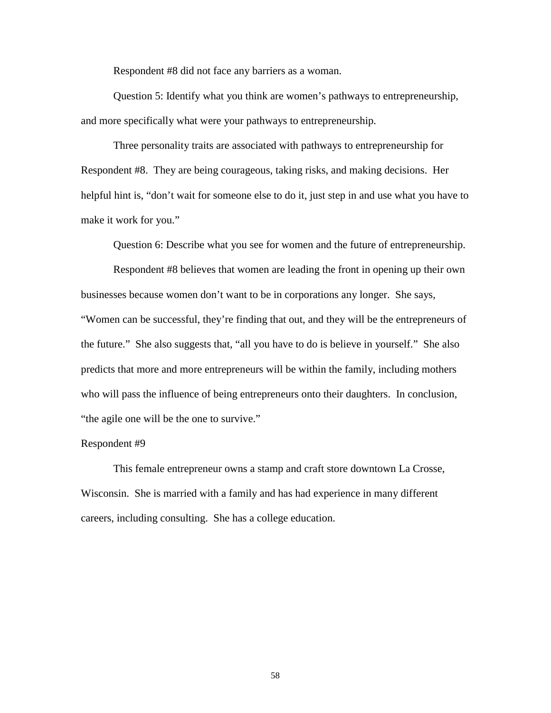Respondent #8 did not face any barriers as a woman.

Question 5: Identify what you think are women's pathways to entrepreneurship, and more specifically what were your pathways to entrepreneurship.

Three personality traits are associated with pathways to entrepreneurship for Respondent #8. They are being courageous, taking risks, and making decisions. Her helpful hint is, "don't wait for someone else to do it, just step in and use what you have to make it work for you."

Question 6: Describe what you see for women and the future of entrepreneurship.

Respondent #8 believes that women are leading the front in opening up their own businesses because women don't want to be in corporations any longer. She says, "Women can be successful, they're finding that out, and they will be the entrepreneurs of the future." She also suggests that, "all you have to do is believe in yourself." She also predicts that more and more entrepreneurs will be within the family, including mothers who will pass the influence of being entrepreneurs onto their daughters. In conclusion, "the agile one will be the one to survive."

## Respondent #9

This female entrepreneur owns a stamp and craft store downtown La Crosse, Wisconsin. She is married with a family and has had experience in many different careers, including consulting. She has a college education.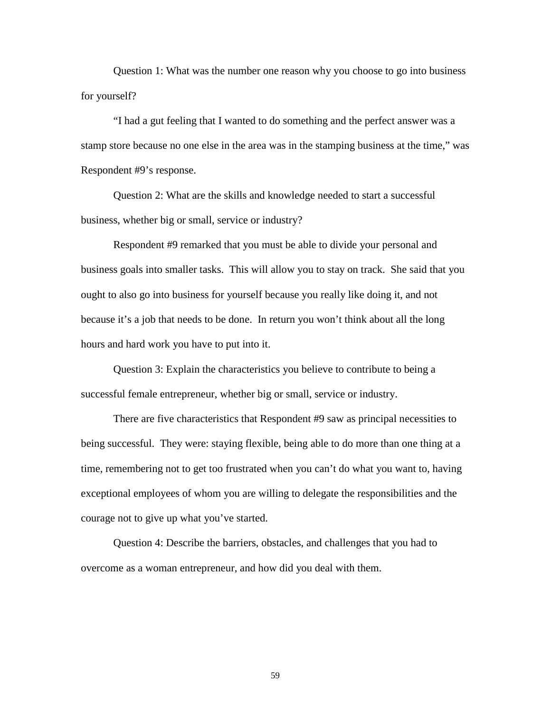Question 1: What was the number one reason why you choose to go into business for yourself?

"I had a gut feeling that I wanted to do something and the perfect answer was a stamp store because no one else in the area was in the stamping business at the time," was Respondent #9's response.

Question 2: What are the skills and knowledge needed to start a successful business, whether big or small, service or industry?

Respondent #9 remarked that you must be able to divide your personal and business goals into smaller tasks. This will allow you to stay on track. She said that you ought to also go into business for yourself because you really like doing it, and not because it's a job that needs to be done. In return you won't think about all the long hours and hard work you have to put into it.

Question 3: Explain the characteristics you believe to contribute to being a successful female entrepreneur, whether big or small, service or industry.

There are five characteristics that Respondent #9 saw as principal necessities to being successful. They were: staying flexible, being able to do more than one thing at a time, remembering not to get too frustrated when you can't do what you want to, having exceptional employees of whom you are willing to delegate the responsibilities and the courage not to give up what you've started.

Question 4: Describe the barriers, obstacles, and challenges that you had to overcome as a woman entrepreneur, and how did you deal with them.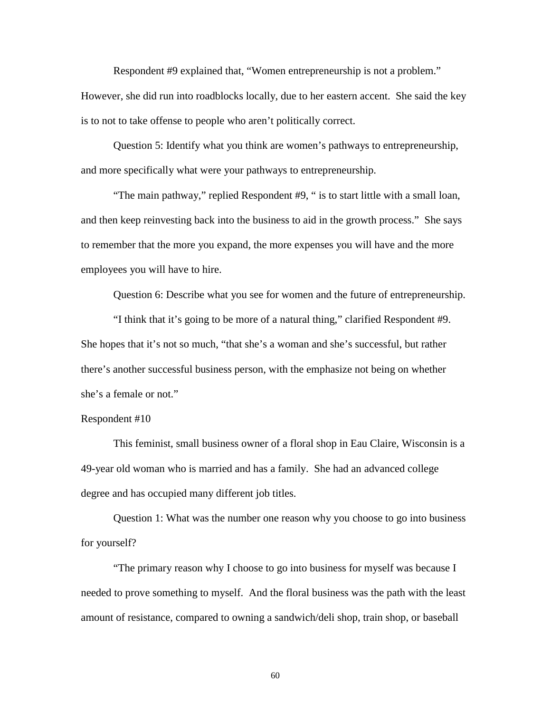Respondent #9 explained that, "Women entrepreneurship is not a problem." However, she did run into roadblocks locally, due to her eastern accent. She said the key is to not to take offense to people who aren't politically correct.

Question 5: Identify what you think are women's pathways to entrepreneurship, and more specifically what were your pathways to entrepreneurship.

"The main pathway," replied Respondent #9, " is to start little with a small loan, and then keep reinvesting back into the business to aid in the growth process." She says to remember that the more you expand, the more expenses you will have and the more employees you will have to hire.

Question 6: Describe what you see for women and the future of entrepreneurship.

"I think that it's going to be more of a natural thing," clarified Respondent #9. She hopes that it's not so much, "that she's a woman and she's successful, but rather there's another successful business person, with the emphasize not being on whether she's a female or not."

## Respondent #10

This feminist, small business owner of a floral shop in Eau Claire, Wisconsin is a 49-year old woman who is married and has a family. She had an advanced college degree and has occupied many different job titles.

Question 1: What was the number one reason why you choose to go into business for yourself?

"The primary reason why I choose to go into business for myself was because I needed to prove something to myself. And the floral business was the path with the least amount of resistance, compared to owning a sandwich/deli shop, train shop, or baseball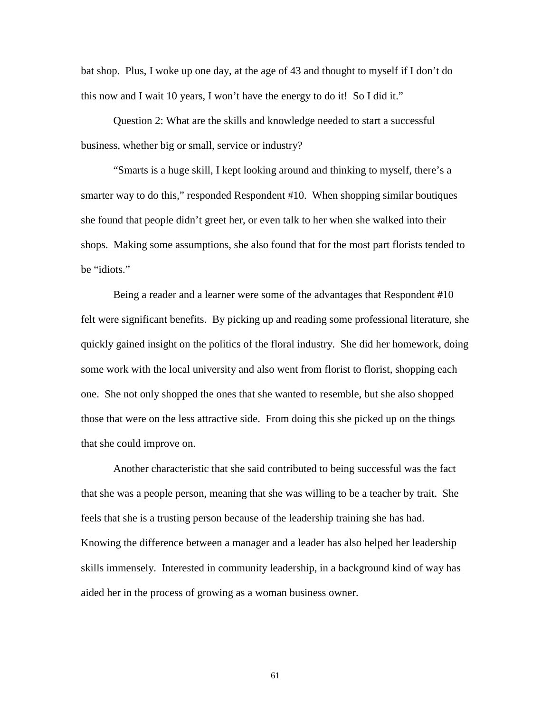bat shop. Plus, I woke up one day, at the age of 43 and thought to myself if I don't do this now and I wait 10 years, I won't have the energy to do it! So I did it."

Question 2: What are the skills and knowledge needed to start a successful business, whether big or small, service or industry?

"Smarts is a huge skill, I kept looking around and thinking to myself, there's a smarter way to do this," responded Respondent #10. When shopping similar boutiques she found that people didn't greet her, or even talk to her when she walked into their shops. Making some assumptions, she also found that for the most part florists tended to be "idiots."

Being a reader and a learner were some of the advantages that Respondent #10 felt were significant benefits. By picking up and reading some professional literature, she quickly gained insight on the politics of the floral industry. She did her homework, doing some work with the local university and also went from florist to florist, shopping each one. She not only shopped the ones that she wanted to resemble, but she also shopped those that were on the less attractive side. From doing this she picked up on the things that she could improve on.

Another characteristic that she said contributed to being successful was the fact that she was a people person, meaning that she was willing to be a teacher by trait. She feels that she is a trusting person because of the leadership training she has had. Knowing the difference between a manager and a leader has also helped her leadership skills immensely. Interested in community leadership, in a background kind of way has aided her in the process of growing as a woman business owner.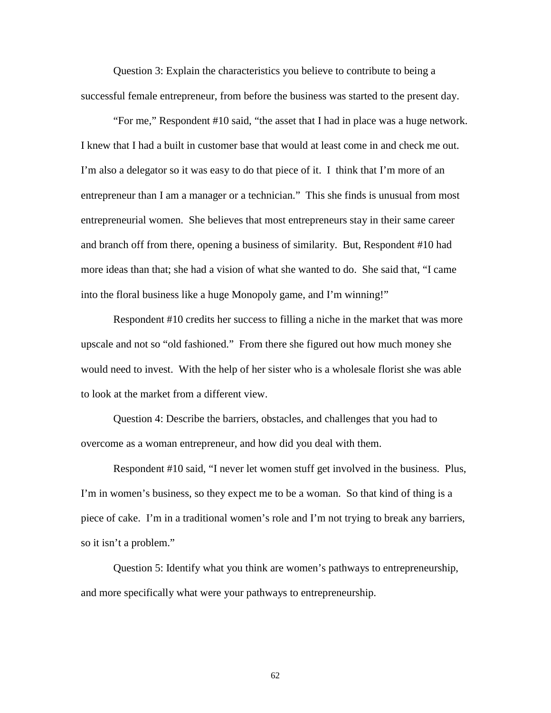Question 3: Explain the characteristics you believe to contribute to being a successful female entrepreneur, from before the business was started to the present day.

"For me," Respondent #10 said, "the asset that I had in place was a huge network. I knew that I had a built in customer base that would at least come in and check me out. I'm also a delegator so it was easy to do that piece of it. I think that I'm more of an entrepreneur than I am a manager or a technician." This she finds is unusual from most entrepreneurial women. She believes that most entrepreneurs stay in their same career and branch off from there, opening a business of similarity. But, Respondent #10 had more ideas than that; she had a vision of what she wanted to do. She said that, "I came into the floral business like a huge Monopoly game, and I'm winning!"

Respondent #10 credits her success to filling a niche in the market that was more upscale and not so "old fashioned." From there she figured out how much money she would need to invest. With the help of her sister who is a wholesale florist she was able to look at the market from a different view.

Question 4: Describe the barriers, obstacles, and challenges that you had to overcome as a woman entrepreneur, and how did you deal with them.

Respondent #10 said, "I never let women stuff get involved in the business. Plus, I'm in women's business, so they expect me to be a woman. So that kind of thing is a piece of cake. I'm in a traditional women's role and I'm not trying to break any barriers, so it isn't a problem."

Question 5: Identify what you think are women's pathways to entrepreneurship, and more specifically what were your pathways to entrepreneurship.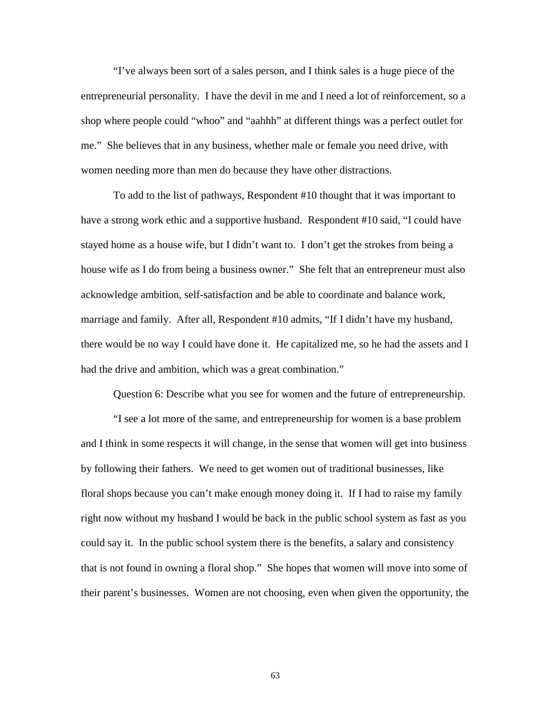"I've always been sort of a sales person, and I think sales is a huge piece of the entrepreneurial personality. I have the devil in me and I need a lot of reinforcement, so a shop where people could "whoo" and "aahhh" at different things was a perfect outlet for me." She believes that in any business, whether male or female you need drive, with women needing more than men do because they have other distractions.

To add to the list of pathways, Respondent #10 thought that it was important to have a strong work ethic and a supportive husband. Respondent #10 said, "I could have stayed home as a house wife, but I didn't want to. I don't get the strokes from being a house wife as I do from being a business owner." She felt that an entrepreneur must also acknowledge ambition, self-satisfaction and be able to coordinate and balance work, marriage and family. After all, Respondent #10 admits, "If I didn't have my husband, there would be no way I could have done it. He capitalized me, so he had the assets and I had the drive and ambition, which was a great combination."

Question 6: Describe what you see for women and the future of entrepreneurship.

"I see a lot more of the same, and entrepreneurship for women is a base problem and I think in some respects it will change, in the sense that women will get into business by following their fathers. We need to get women out of traditional businesses, like floral shops because you can't make enough money doing it. If I had to raise my family right now without my husband I would be back in the public school system as fast as you could say it. In the public school system there is the benefits, a salary and consistency that is not found in owning a floral shop." She hopes that women will move into some of their parent's businesses. Women are not choosing, even when given the opportunity, the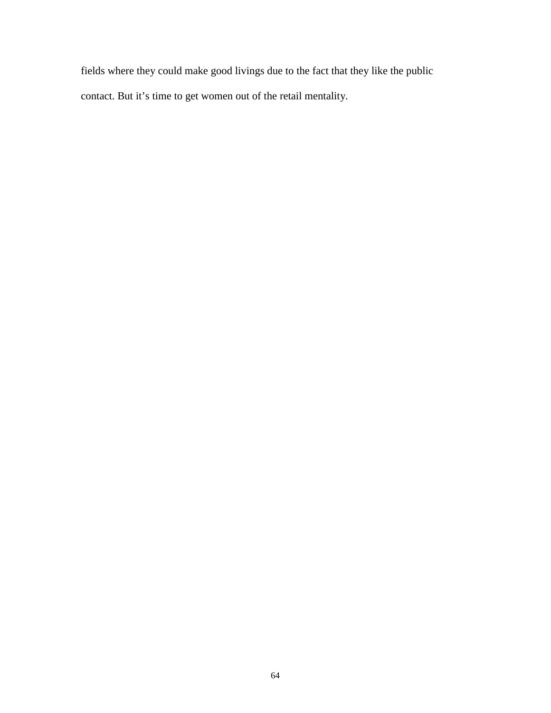fields where they could make good livings due to the fact that they like the public contact. But it's time to get women out of the retail mentality.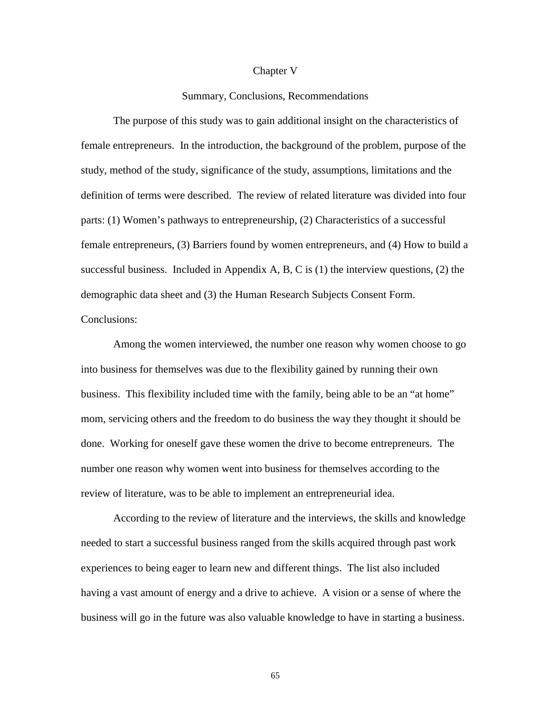#### Chapter V

## Summary, Conclusions, Recommendations

The purpose of this study was to gain additional insight on the characteristics of female entrepreneurs. In the introduction, the background of the problem, purpose of the study, method of the study, significance of the study, assumptions, limitations and the definition of terms were described. The review of related literature was divided into four parts: (1) Women's pathways to entrepreneurship, (2) Characteristics of a successful female entrepreneurs, (3) Barriers found by women entrepreneurs, and (4) How to build a successful business. Included in Appendix A, B, C is  $(1)$  the interview questions,  $(2)$  the demographic data sheet and (3) the Human Research Subjects Consent Form. Conclusions:

Among the women interviewed, the number one reason why women choose to go into business for themselves was due to the flexibility gained by running their own business. This flexibility included time with the family, being able to be an "at home" mom, servicing others and the freedom to do business the way they thought it should be done. Working for oneself gave these women the drive to become entrepreneurs. The number one reason why women went into business for themselves according to the review of literature, was to be able to implement an entrepreneurial idea.

According to the review of literature and the interviews, the skills and knowledge needed to start a successful business ranged from the skills acquired through past work experiences to being eager to learn new and different things. The list also included having a vast amount of energy and a drive to achieve. A vision or a sense of where the business will go in the future was also valuable knowledge to have in starting a business.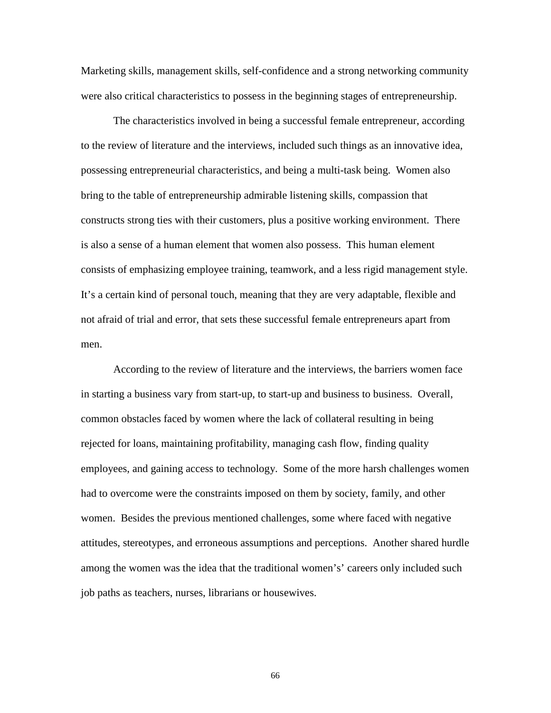Marketing skills, management skills, self-confidence and a strong networking community were also critical characteristics to possess in the beginning stages of entrepreneurship.

The characteristics involved in being a successful female entrepreneur, according to the review of literature and the interviews, included such things as an innovative idea, possessing entrepreneurial characteristics, and being a multi-task being. Women also bring to the table of entrepreneurship admirable listening skills, compassion that constructs strong ties with their customers, plus a positive working environment. There is also a sense of a human element that women also possess. This human element consists of emphasizing employee training, teamwork, and a less rigid management style. It's a certain kind of personal touch, meaning that they are very adaptable, flexible and not afraid of trial and error, that sets these successful female entrepreneurs apart from men.

According to the review of literature and the interviews, the barriers women face in starting a business vary from start-up, to start-up and business to business. Overall, common obstacles faced by women where the lack of collateral resulting in being rejected for loans, maintaining profitability, managing cash flow, finding quality employees, and gaining access to technology. Some of the more harsh challenges women had to overcome were the constraints imposed on them by society, family, and other women. Besides the previous mentioned challenges, some where faced with negative attitudes, stereotypes, and erroneous assumptions and perceptions. Another shared hurdle among the women was the idea that the traditional women's' careers only included such job paths as teachers, nurses, librarians or housewives.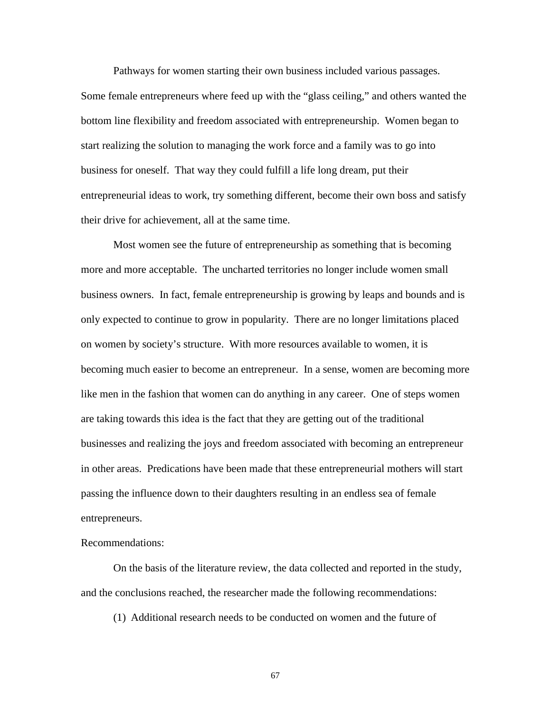Pathways for women starting their own business included various passages. Some female entrepreneurs where feed up with the "glass ceiling," and others wanted the bottom line flexibility and freedom associated with entrepreneurship. Women began to start realizing the solution to managing the work force and a family was to go into business for oneself. That way they could fulfill a life long dream, put their entrepreneurial ideas to work, try something different, become their own boss and satisfy their drive for achievement, all at the same time.

Most women see the future of entrepreneurship as something that is becoming more and more acceptable. The uncharted territories no longer include women small business owners. In fact, female entrepreneurship is growing by leaps and bounds and is only expected to continue to grow in popularity. There are no longer limitations placed on women by society's structure. With more resources available to women, it is becoming much easier to become an entrepreneur. In a sense, women are becoming more like men in the fashion that women can do anything in any career. One of steps women are taking towards this idea is the fact that they are getting out of the traditional businesses and realizing the joys and freedom associated with becoming an entrepreneur in other areas. Predications have been made that these entrepreneurial mothers will start passing the influence down to their daughters resulting in an endless sea of female entrepreneurs.

## Recommendations:

On the basis of the literature review, the data collected and reported in the study, and the conclusions reached, the researcher made the following recommendations:

(1) Additional research needs to be conducted on women and the future of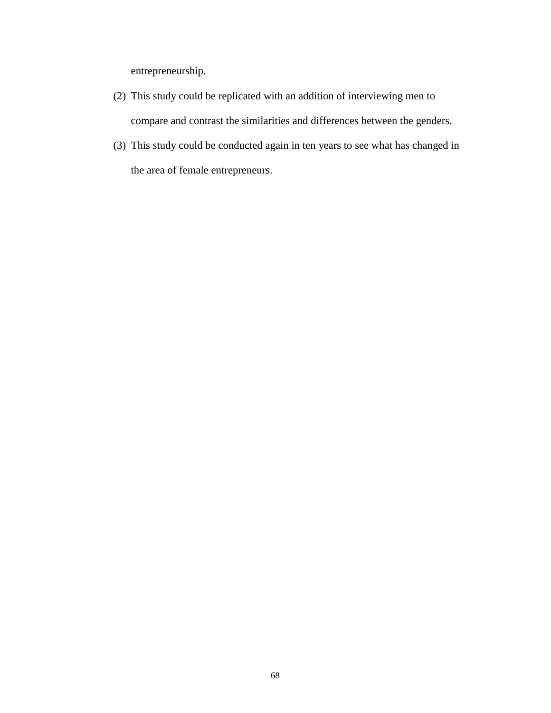entrepreneurship.

- (2) This study could be replicated with an addition of interviewing men to compare and contrast the similarities and differences between the genders.
- (3) This study could be conducted again in ten years to see what has changed in the area of female entrepreneurs.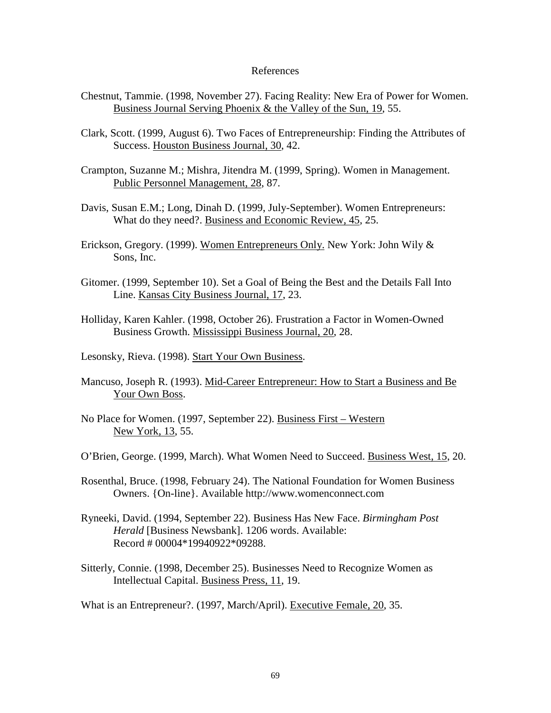## References

- Chestnut, Tammie. (1998, November 27). Facing Reality: New Era of Power for Women. Business Journal Serving Phoenix & the Valley of the Sun, 19, 55.
- Clark, Scott. (1999, August 6). Two Faces of Entrepreneurship: Finding the Attributes of Success. Houston Business Journal, 30, 42.
- Crampton, Suzanne M.; Mishra, Jitendra M. (1999, Spring). Women in Management. Public Personnel Management, 28, 87.
- Davis, Susan E.M.; Long, Dinah D. (1999, July-September). Women Entrepreneurs: What do they need?. Business and Economic Review, 45, 25.
- Erickson, Gregory. (1999). Women Entrepreneurs Only. New York: John Wily & Sons, Inc.
- Gitomer. (1999, September 10). Set a Goal of Being the Best and the Details Fall Into Line. Kansas City Business Journal, 17, 23.
- Holliday, Karen Kahler. (1998, October 26). Frustration a Factor in Women-Owned Business Growth. Mississippi Business Journal, 20, 28.
- Lesonsky, Rieva. (1998). Start Your Own Business.
- Mancuso, Joseph R. (1993). Mid-Career Entrepreneur: How to Start a Business and Be Your Own Boss.
- No Place for Women. (1997, September 22). Business First Western New York, 13, 55.
- O'Brien, George. (1999, March). What Women Need to Succeed. Business West, 15, 20.
- Rosenthal, Bruce. (1998, February 24). The National Foundation for Women Business Owners. {On-line}. Available http://www.womenconnect.com
- Ryneeki, David. (1994, September 22). Business Has New Face. *Birmingham Post Herald* [Business Newsbank]. 1206 words. Available: Record # 00004\*19940922\*09288.
- Sitterly, Connie. (1998, December 25). Businesses Need to Recognize Women as Intellectual Capital. Business Press, 11, 19.

What is an Entrepreneur?. (1997, March/April). Executive Female, 20, 35.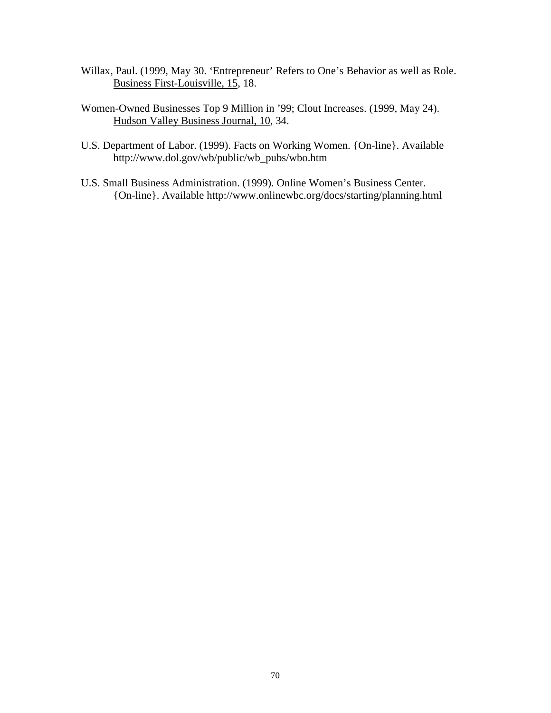- Willax, Paul. (1999, May 30. 'Entrepreneur' Refers to One's Behavior as well as Role. Business First-Louisville, 15, 18.
- Women-Owned Businesses Top 9 Million in '99; Clout Increases. (1999, May 24). Hudson Valley Business Journal, 10, 34.
- U.S. Department of Labor. (1999). Facts on Working Women. {On-line}. Available http://www.dol.gov/wb/public/wb\_pubs/wbo.htm
- U.S. Small Business Administration. (1999). Online Women's Business Center. {On-line}. Available http://www.onlinewbc.org/docs/starting/planning.html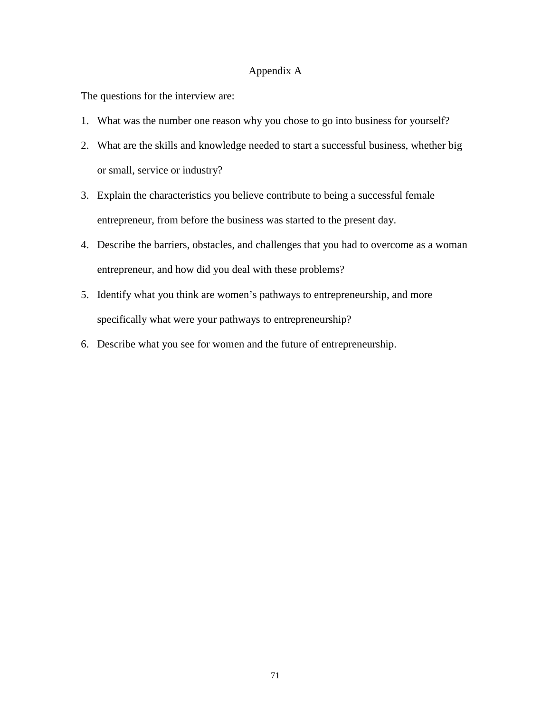## Appendix A

The questions for the interview are:

- 1. What was the number one reason why you chose to go into business for yourself?
- 2. What are the skills and knowledge needed to start a successful business, whether big or small, service or industry?
- 3. Explain the characteristics you believe contribute to being a successful female entrepreneur, from before the business was started to the present day.
- 4. Describe the barriers, obstacles, and challenges that you had to overcome as a woman entrepreneur, and how did you deal with these problems?
- 5. Identify what you think are women's pathways to entrepreneurship, and more specifically what were your pathways to entrepreneurship?
- 6. Describe what you see for women and the future of entrepreneurship.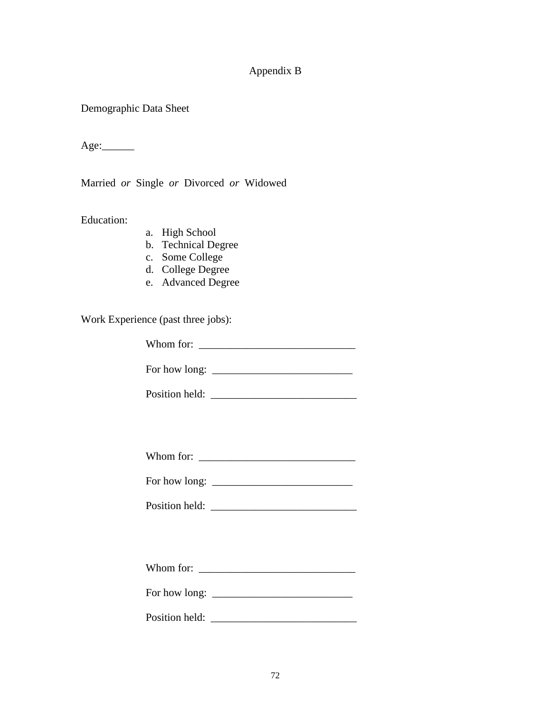# Appendix B

Demographic Data Sheet

 $Age:$ 

Married *or* Single *or* Divorced *or* Widowed

Education:

- a. High School
- b. Technical Degree
- c. Some College
- d. College Degree
- e. Advanced Degree

Work Experience (past three jobs):

Whom for: \_\_\_\_\_\_\_\_\_\_\_\_\_\_\_\_\_\_\_\_\_\_\_\_\_\_\_\_\_

For how long: \_\_\_\_\_\_\_\_\_\_\_\_\_\_\_\_\_\_\_\_\_\_\_\_\_\_

Position held: \_\_\_\_\_\_\_\_\_\_\_\_\_\_\_\_\_\_\_\_\_\_\_\_\_\_\_

For how long: \_\_\_\_\_\_\_\_\_\_\_\_\_\_\_\_\_\_\_\_\_\_\_\_\_\_

Position held:

| Whom for: |  |  |
|-----------|--|--|
|-----------|--|--|

For how long: \_\_\_\_\_\_\_\_\_\_\_\_\_\_\_\_\_\_\_\_\_\_\_\_\_\_

Position held: \_\_\_\_\_\_\_\_\_\_\_\_\_\_\_\_\_\_\_\_\_\_\_\_\_\_\_